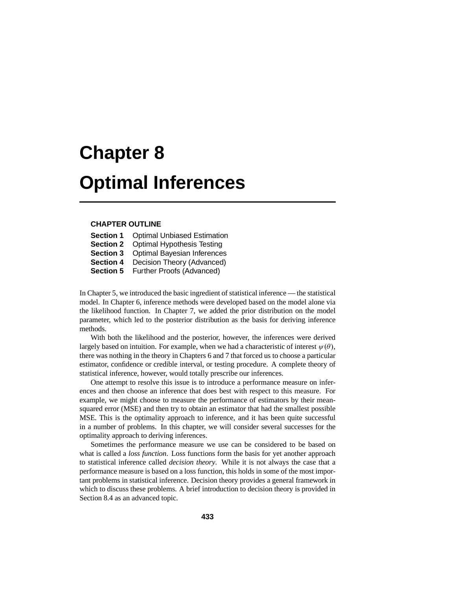# **Chapter 8 Optimal Inferences**

#### **CHAPTER OUTLINE**

| <b>Section 1</b> | <b>Optimal Unbiased Estimation</b> |  |  |  |
|------------------|------------------------------------|--|--|--|
| <b>Section 2</b> | <b>Optimal Hypothesis Testing</b>  |  |  |  |
| <b>Section 3</b> | <b>Optimal Bayesian Inferences</b> |  |  |  |
| <b>Section 4</b> | Decision Theory (Advanced)         |  |  |  |
| <b>Section 5</b> | Further Proofs (Advanced)          |  |  |  |

In Chapter 5, we introduced the basic ingredient of statistical inference — the statistical model. In Chapter 6, inference methods were developed based on the model alone via the likelihood function. In Chapter 7, we added the prior distribution on the model parameter, which led to the posterior distribution as the basis for deriving inference methods.

With both the likelihood and the posterior, however, the inferences were derived largely based on intuition. For example, when we had a characteristic of interest  $\psi(\theta)$ , there was nothing in the theory in Chapters 6 and 7 that forced us to choose a particular estimator, confidence or credible interval, or testing procedure. A complete theory of statistical inference, however, would totally prescribe our inferences.

One attempt to resolve this issue is to introduce a performance measure on inferences and then choose an inference that does best with respect to this measure. For example, we might choose to measure the performance of estimators by their meansquared error (MSE) and then try to obtain an estimator that had the smallest possible MSE. This is the optimality approach to inference, and it has been quite successful in a number of problems. In this chapter, we will consider several successes for the optimality approach to deriving inferences.

Sometimes the performance measure we use can be considered to be based on what is called a *loss function*. Loss functions form the basis for yet another approach to statistical inference called *decision theory*. While it is not always the case that a performance measure is based on a loss function, this holds in some of the most important problems in statistical inference. Decision theory provides a general framework in which to discuss these problems. A brief introduction to decision theory is provided in Section 8.4 as an advanced topic.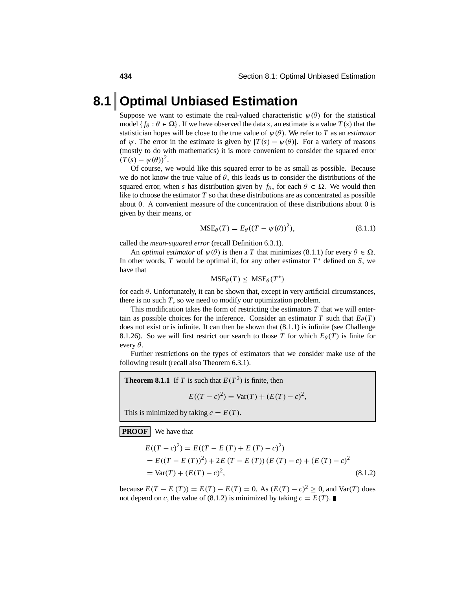### **8.1 Optimal Unbiased Estimation**

Suppose we want to estimate the real-valued characteristic  $\psi(\theta)$  for the statistical model { $f_{\theta}$ :  $\theta \in \Omega$ }. If we have observed the data *s*, an estimate is a value  $T(s)$  that the statistician hopes will be close to the true value of  $\psi(\theta)$ . We refer to *T* as an *estimator* of  $\psi$ . The error in the estimate is given by  $|T(s) - \psi(\theta)|$ . For a variety of reasons (mostly to do with mathematics) it is more convenient to consider the squared error  $(T(s) - \psi(\theta))^2$ .

Of course, we would like this squared error to be as small as possible. Because we do not know the true value of  $\theta$ , this leads us to consider the distributions of the squared error, when *s* has distribution given by  $f_{\theta}$ , for each  $\theta \in \Omega$ . We would then like to choose the estimator  $T$  so that these distributions are as concentrated as possible about 0. A convenient measure of the concentration of these distributions about 0 is given by their means, or

$$
MSE_{\theta}(T) = E_{\theta}((T - \psi(\theta))^2), \qquad (8.1.1)
$$

called the *mean-squared error* (recall Definition 6.3.1).

An *optimal estimator* of  $\psi(\theta)$  is then a *T* that minimizes (8.1.1) for every  $\theta \in \Omega$ . In other words,  $T$  would be optimal if, for any other estimator  $T^*$  defined on  $S$ , we have that

$$
MSE_{\theta}(T) \leq MSE_{\theta}(T^*)
$$

for each  $\theta$ . Unfortunately, it can be shown that, except in very artificial circumstances, there is no such *T*, so we need to modify our optimization problem.

This modification takes the form of restricting the estimators *T* that we will entertain as possible choices for the inference. Consider an estimator *T* such that  $E_{\theta}(T)$ does not exist or is infinite. It can then be shown that (8.1.1) is infinite (see Challenge 8.1.26). So we will first restrict our search to those *T* for which  $E_{\theta}(T)$  is finite for every  $\theta$ .

Further restrictions on the types of estimators that we consider make use of the following result (recall also Theorem 6.3.1).

**Theorem 8.1.1** If *T* is such that  $E(T^2)$  is finite, then

$$
E((T - c)^{2}) = \text{Var}(T) + (E(T) - c)^{2},
$$

This is minimized by taking  $c = E(T)$ .

**PROOF** We have that

$$
E((T - c)^{2}) = E((T - E(T) + E(T) - c)^{2})
$$
  
=  $E((T - E(T))^{2}) + 2E(T - E(T))(E(T) - c) + (E(T) - c)^{2}$   
=  $Var(T) + (E(T) - c)^{2}$ , (8.1.2)

because  $E(T − E(T)) = E(T) − E(T) = 0$ . As  $(E(T) − c)^2 > 0$ , and Var(*T*) does not depend on *c*, the value of (8.1.2) is minimized by taking  $c = E(T)$ .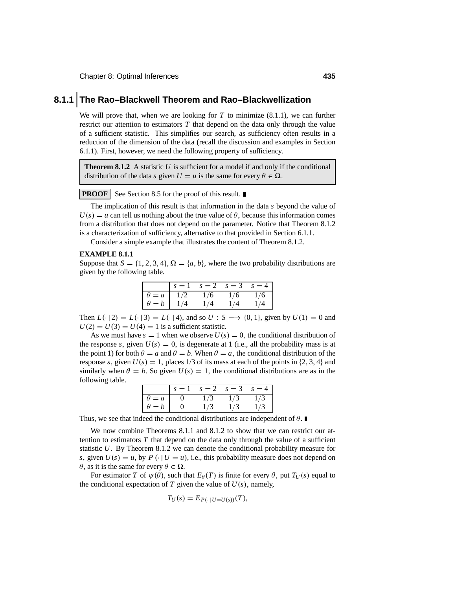Chapter 8: Optimal Inferences **435**

### **8.1.1 The Rao–Blackwell Theorem and Rao–Blackwellization**

We will prove that, when we are looking for  $T$  to minimize  $(8.1.1)$ , we can further restrict our attention to estimators *T* that depend on the data only through the value of a sufficient statistic. This simplifies our search, as sufficiency often results in a reduction of the dimension of the data (recall the discussion and examples in Section 6.1.1). First, however, we need the following property of sufficiency.

**Theorem 8.1.2** A statistic *U* is sufficient for a model if and only if the conditional distribution of the data *s* given  $U = u$  is the same for every  $\theta \in \Omega$ .

#### **PROOF** See Section 8.5 for the proof of this result.

The implication of this result is that information in the data *s* beyond the value of  $U(s) = u$  can tell us nothing about the true value of  $\theta$ , because this information comes from a distribution that does not depend on the parameter. Notice that Theorem 8.1.2 is a characterization of sufficiency, alternative to that provided in Section 6.1.1.

Consider a simple example that illustrates the content of Theorem 8.1.2.

#### **EXAMPLE 8.1.1**

Suppose that  $S = \{1, 2, 3, 4\}, \Omega = \{a, b\}$ , where the two probability distributions are given by the following table.

|              | $s=1$ | $s=2$ | $s=3$ | $s=4$ |
|--------------|-------|-------|-------|-------|
| $\theta = a$ | 1/2   | 1/6   | 1/6   | 1/6   |
| $\theta = b$ | 1/4   | 1/4   | 1/4   | 1/4   |

Then  $L(\cdot | 2) = L(\cdot | 3) = L(\cdot | 4)$ , and so  $U: S \longrightarrow \{0, 1\}$ , given by  $U(1) = 0$  and  $U(2) = U(3) = U(4) = 1$  is a sufficient statistic.

As we must have  $s = 1$  when we observe  $U(s) = 0$ , the conditional distribution of the response *s*, given  $U(s) = 0$ , is degenerate at 1 (i.e., all the probability mass is at the point 1) for both  $\theta = a$  and  $\theta = b$ . When  $\theta = a$ , the conditional distribution of the response *s*, given  $U(s) = 1$ , places 1/3 of its mass at each of the points in {2, 3, 4} and similarly when  $\theta = b$ . So given  $U(s) = 1$ , the conditional distributions are as in the following table.

|              | $s=1$ | $s=2$ | $s=3$ | $s = 4$ |
|--------------|-------|-------|-------|---------|
| $\theta = a$ |       | 1/3   | 1/3   | 1/3     |
| $\theta = b$ |       |       | 1/3   | 1/3     |

Thus, we see that indeed the conditional distributions are independent of  $\theta$ .

We now combine Theorems 8.1.1 and 8.1.2 to show that we can restrict our attention to estimators *T* that depend on the data only through the value of a sufficient statistic *U*. By Theorem 8.1.2 we can denote the conditional probability measure for *s*, given  $U(s) = u$ , by  $P(\cdot | U = u)$ , i.e., this probability measure does not depend on  $θ$ , as it is the same for every  $θ ∈ Ω$ .

For estimator *T* of  $\psi(\theta)$ , such that  $E_{\theta}(T)$  is finite for every  $\theta$ , put  $T_U(s)$  equal to the conditional expectation of  $T$  given the value of  $U(s)$ , namely,

$$
T_U(s) = E_{P(\cdot | U = U(s))}(T),
$$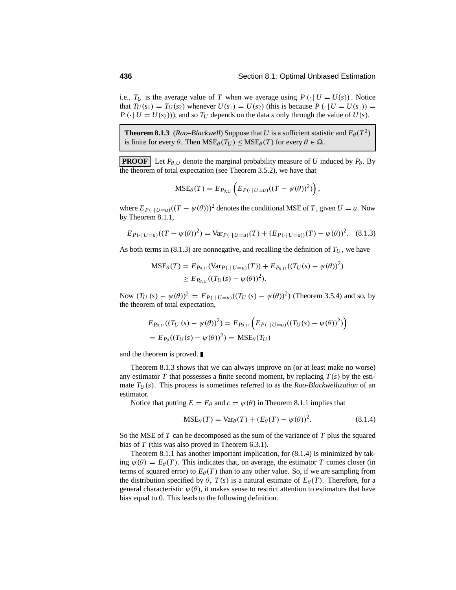i.e.,  $T_U$  is the average value of *T* when we average using  $P(\cdot | U = U(s))$ . Notice that  $T_U(s_1) = T_U(s_2)$  whenever  $U(s_1) = U(s_2)$  (this is because  $P(\cdot | U = U(s_1)) =$  $P(\cdot | U = U(s_2))$ , and so  $T_U$  depends on the data *s* only through the value of  $U(s)$ .

**Theorem 8.1.3** (*Rao–Blackwell*) Suppose that *U* is a sufficient statistic and  $E_{\theta}(T^2)$ is finite for every  $\theta$ . Then  $MSE_{\theta}(T_U) \leq MSE_{\theta}(T)$  for every  $\theta \in \Omega$ .

**PROOF** Let  $P_{\theta, U}$  denote the marginal probability measure of *U* induced by  $P_{\theta}$ . By the theorem of total expectation (see Theorem 3.5.2), we have that

$$
\text{MSE}_{\theta}(T) = E_{P_{\theta,U}}\left(E_{P(\cdot | U=u)}((T - \psi(\theta))^2)\right),\,
$$

where  $E_{P(\cdot | U=u)}((T - \psi(\theta)))^2$  denotes the conditional MSE of *T*, given  $U = u$ . Now by Theorem 8.1.1,

$$
E_{P(\cdot|U=u)}((T-\psi(\theta))^2) = \text{Var}_{P(\cdot|U=u)}(T) + (E_{P(\cdot|U=u)}(T) - \psi(\theta))^2. \tag{8.1.3}
$$

As both terms in  $(8.1.3)$  are nonnegative, and recalling the definition of  $T_U$ , we have

$$
MSE_{\theta}(T) = E_{P_{\theta,U}}(\text{Var}_{P(\cdot | U=u)}(T)) + E_{P_{\theta,U}}((T_U(s) - \psi(\theta))^2)
$$
  
\n
$$
\geq E_{P_{\theta,U}}((T_U(s) - \psi(\theta))^2).
$$

Now  $(T_U(s) - \psi(\theta))^2 = E_{P(\cdot | U=u)}((T_U(s) - \psi(\theta))^2)$  (Theorem 3.5.4) and so, by the theorem of total expectation,

$$
E_{P_{\theta,U}}((T_U(s) - \psi(\theta))^2) = E_{P_{\theta,U}}\left(E_{P(\cdot|U=u)}((T_U(s) - \psi(\theta))^2)\right)
$$
  
=  $E_{P_{\theta}}((T_U(s) - \psi(\theta))^2) = \text{MSE}_{\theta}(T_U)$ 

and the theorem is proved.

Theorem 8.1.3 shows that we can always improve on (or at least make no worse) any estimator  $T$  that possesses a finite second moment, by replacing  $T(s)$  by the estimate  $T_U(s)$ . This process is sometimes referred to as the *Rao-Blackwellization* of an estimator.

Notice that putting  $E = E_\theta$  and  $c = \psi(\theta)$  in Theorem 8.1.1 implies that

$$
MSE_{\theta}(T) = Var_{\theta}(T) + (E_{\theta}(T) - \psi(\theta))^2.
$$
\n(8.1.4)

So the MSE of *T* can be decomposed as the sum of the variance of *T* plus the squared bias of *T* (this was also proved in Theorem 6.3.1).

Theorem 8.1.1 has another important implication, for (8.1.4) is minimized by taking  $\psi(\theta) = E_{\theta}(T)$ . This indicates that, on average, the estimator *T* comes closer (in terms of squared error) to  $E_{\theta}(T)$  than to any other value. So, if we are sampling from the distribution specified by  $\theta$ ,  $T(s)$  is a natural estimate of  $E_{\theta}(T)$ . Therefore, for a general characteristic  $\psi(\theta)$ , it makes sense to restrict attention to estimators that have bias equal to 0. This leads to the following definition.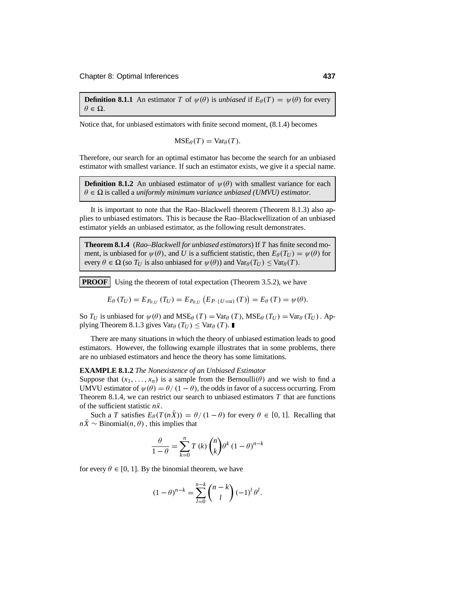**Definition 8.1.1** An estimator *T* of  $\psi(\theta)$  is *unbiased* if  $E_{\theta}(T) = \psi(\theta)$  for every  $\theta \in \Omega$ .

Notice that, for unbiased estimators with finite second moment, (8.1.4) becomes

$$
MSE_{\theta}(T) = Var_{\theta}(T).
$$

Therefore, our search for an optimal estimator has become the search for an unbiased estimator with smallest variance. If such an estimator exists, we give it a special name.

**Definition 8.1.2** An unbiased estimator of  $\psi(\theta)$  with smallest variance for each  $\theta \in \Omega$  is called a *uniformly minimum variance unbiased (UMVU) estimator*.

It is important to note that the Rao–Blackwell theorem (Theorem 8.1.3) also applies to unbiased estimators. This is because the Rao–Blackwellization of an unbiased estimator yields an unbiased estimator, as the following result demonstrates.

**Theorem 8.1.4** (*Rao–Blackwell for unbiased estimators*) If *T* has finite second moment, is unbiased for  $\psi(\theta)$ , and *U* is a sufficient statistic, then  $E_{\theta}(T_U) = \psi(\theta)$  for every  $\theta \in \Omega$  (so  $T_U$  is also unbiased for  $\psi(\theta)$ ) and  $\text{Var}_{\theta}(T_U) \leq \text{Var}_{\theta}(T)$ .

**PROOF** Using the theorem of total expectation (Theorem 3.5.2), we have

$$
E_{\theta}(T_U) = E_{P_{\theta,U}}(T_U) = E_{P_{\theta,U}}(E_{P\cdot | U=u)}(T) = E_{\theta}(T) = \psi(\theta).
$$

So  $T_U$  is unbiased for  $\psi(\theta)$  and  $MSE_\theta(T) = Var_\theta(T)$ ,  $MSE_\theta(T_U) = Var_\theta(T_U)$ . Applying Theorem 8.1.3 gives Var $\theta$  (*T<sub>U</sub>*)  $\leq$  Var $\theta$  (*T*).

There are many situations in which the theory of unbiased estimation leads to good estimators. However, the following example illustrates that in some problems, there are no unbiased estimators and hence the theory has some limitations.

#### **EXAMPLE 8.1.2** *The Nonexistence of an Unbiased Estimator*

Suppose that  $(x_1, \ldots, x_n)$  is a sample from the Bernoulli( $\theta$ ) and we wish to find a UMVU estimator of  $\psi(\theta) = \theta/(1 - \theta)$ , the odds in favor of a success occurring. From Theorem 8.1.4, we can restrict our search to unbiased estimators *T* that are functions of the sufficient statistic  $n\bar{x}$ .

Such a *T* satisfies  $E_{\theta}(T(n\bar{X})) = \theta/(1-\theta)$  for every  $\theta \in [0, 1]$ . Recalling that  $n\bar{X} \sim$  Binomial $(n, \theta)$ , this implies that

$$
\frac{\theta}{1-\theta} = \sum_{k=0}^{n} T(k) {n \choose k} \theta^k (1-\theta)^{n-k}
$$

for every  $\theta \in [0, 1]$ . By the binomial theorem, we have

$$
(1 - \theta)^{n-k} = \sum_{l=0}^{n-k} {n-k \choose l} (-1)^l \theta^l.
$$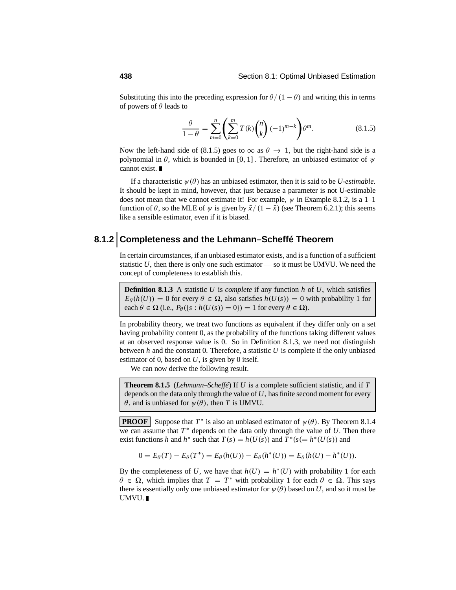Substituting this into the preceding expression for  $\theta/(1-\theta)$  and writing this in terms of powers of  $\theta$  leads to

$$
\frac{\theta}{1-\theta} = \sum_{m=0}^{n} \left( \sum_{k=0}^{m} T(k) {n \choose k} (-1)^{m-k} \right) \theta^{m}.
$$
 (8.1.5)

Now the left-hand side of (8.1.5) goes to  $\infty$  as  $\theta \to 1$ , but the right-hand side is a polynomial in  $\theta$ , which is bounded in [0, 1]. Therefore, an unbiased estimator of  $\psi$ cannot exist.

If a characteristic  $\psi(\theta)$  has an unbiased estimator, then it is said to be *U-estimable*. It should be kept in mind, however, that just because a parameter is not U-estimable does not mean that we cannot estimate it! For example,  $\psi$  in Example 8.1.2, is a 1–1 function of  $\theta$ , so the MLE of  $\psi$  is given by  $\bar{x}/(1-\bar{x})$  (see Theorem 6.2.1); this seems like a sensible estimator, even if it is biased.

### **8.1.2 Completeness and the Lehmann–Scheffé Theorem**

In certain circumstances, if an unbiased estimator exists, and is a function of a sufficient statistic  $U$ , then there is only one such estimator — so it must be UMVU. We need the concept of completeness to establish this.

**Definition 8.1.3** A statistic *U* is *complete* if any function  $h$  of  $U$ , which satisfies  $E_{\theta}(h(U)) = 0$  for every  $\theta \in \Omega$ , also satisfies  $h(U(s)) = 0$  with probability 1 for each  $\theta \in \Omega$  (i.e.,  $P_{\theta}(\{s : h(U(s)) = 0\}) = 1$  for every  $\theta \in \Omega$ ).

In probability theory, we treat two functions as equivalent if they differ only on a set having probability content 0, as the probability of the functions taking different values at an observed response value is 0. So in Definition 8.1.3, we need not distinguish between  $h$  and the constant 0. Therefore, a statistic  $U$  is complete if the only unbiased estimator of 0, based on *U*, is given by 0 itself.

We can now derive the following result.

**Theorem 8.1.5** (*Lehmann–Scheffé*) If *U* is a complete sufficient statistic, and if *T* depends on the data only through the value of *U*, has finite second moment for every  $θ$ , and is unbiased for  $ψ(θ)$ , then *T* is UMVU.

**PROOF** Suppose that  $T^*$  is also an unbiased estimator of  $\psi(\theta)$ . By Theorem 8.1.4 we can assume that  $T^*$  depends on the data only through the value of  $U$ . Then there exist functions *h* and *h*<sup>\*</sup> such that  $T(s) = h(U(s))$  and  $T^*(s) = h^*(U(s))$  and

$$
0 = E_{\theta}(T) - E_{\theta}(T^*) = E_{\theta}(h(U)) - E_{\theta}(h^*(U)) = E_{\theta}(h(U) - h^*(U)).
$$

By the completeness of *U*, we have that  $h(U) = h^*(U)$  with probability 1 for each  $\theta \in \Omega$ , which implies that  $T = T^*$  with probability 1 for each  $\theta \in \Omega$ . This says there is essentially only one unbiased estimator for  $\psi(\theta)$  based on *U*, and so it must be UMVU.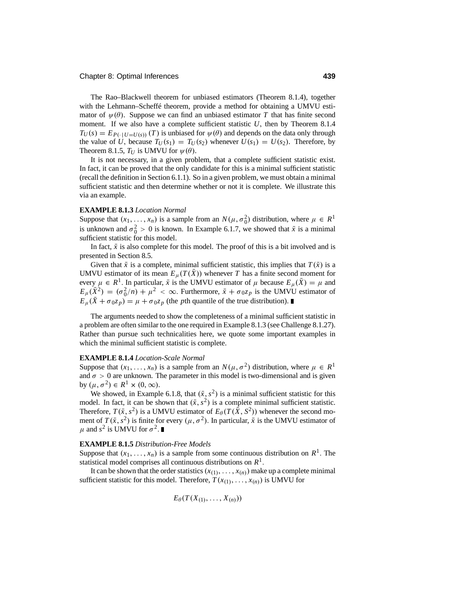#### Chapter 8: Optimal Inferences **439**

The Rao–Blackwell theorem for unbiased estimators (Theorem 8.1.4), together with the Lehmann–Scheffé theorem, provide a method for obtaining a UMVU estimator of  $\psi(\theta)$ . Suppose we can find an unbiased estimator *T* that has finite second moment. If we also have a complete sufficient statistic *U*, then by Theorem 8.1.4  $T_U(s) = E_{P(\cdot | U = U(s))}(T)$  is unbiased for  $\psi(\theta)$  and depends on the data only through the value of *U*, because  $T_U(s_1) = T_U(s_2)$  whenever  $U(s_1) = U(s_2)$ . Therefore, by Theorem 8.1.5,  $T_U$  is UMVU for  $\psi(\theta)$ .

It is not necessary, in a given problem, that a complete sufficient statistic exist. In fact, it can be proved that the only candidate for this is a minimal sufficient statistic (recall the definition in Section 6.1.1). So in a given problem, we must obtain a minimal sufficient statistic and then determine whether or not it is complete. We illustrate this via an example.

#### **EXAMPLE 8.1.3** *Location Normal*

Suppose that  $(x_1, ..., x_n)$  is a sample from an  $N(\mu, \sigma_0^2)$  distribution, where  $\mu \in R^1$ is unknown and  $\sigma_0^2 > 0$  is known. In Example 6.1.7, we showed that  $\bar{x}$  is a minimal sufficient statistic for this model.

In fact,  $\bar{x}$  is also complete for this model. The proof of this is a bit involved and is presented in Section 8.5.

Given that  $\bar{x}$  is a complete, minimal sufficient statistic, this implies that  $T(\bar{x})$  is a UMVU estimator of its mean  $E_{\mu}(T(\bar{X}))$  whenever *T* has a finite second moment for every  $\mu \in R^1$ . In particular,  $\bar{x}$  is the UMVU estimator of  $\mu$  because  $E_{\mu}(\bar{X}) = \mu$  and  $E_{\mu}(\bar{X}^2) = (\sigma_0^2/n) + \mu^2 < \infty$ . Furthermore,  $\bar{x} + \sigma_0 z_p$  is the UMVU estimator of  $E_{\mu}(\bar{X} + \sigma_0 z_p) = \mu + \sigma_0 z_p$  (the *p*th quantile of the true distribution).

The arguments needed to show the completeness of a minimal sufficient statistic in a problem are often similar to the one required in Example 8.1.3 (see Challenge 8.1.27). Rather than pursue such technicalities here, we quote some important examples in which the minimal sufficient statistic is complete.

#### **EXAMPLE 8.1.4** *Location-Scale Normal*

Suppose that  $(x_1, \ldots, x_n)$  is a sample from an  $N(\mu, \sigma^2)$  distribution, where  $\mu \in R^1$ and  $\sigma > 0$  are unknown. The parameter in this model is two-dimensional and is given by  $(\mu, \sigma^2) \in R^1 \times (0, \infty)$ .

We showed, in Example 6.1.8, that  $(\bar{x}, s^2)$  is a minimal sufficient statistic for this model. In fact, it can be shown that  $(\bar{x}, s^2)$  is a complete minimal sufficient statistic. Therefore,  $T(\bar{x}, s^2)$  is a UMVU estimator of  $E_\theta(T(\bar{X}, S^2))$  whenever the second moment of  $T(\bar{x}, s^2)$  is finite for every  $(\mu, \sigma^2)$ . In particular,  $\bar{x}$  is the UMVU estimator of  $\mu$  and  $s^2$  is UMVU for  $\sigma^2$ .

#### **EXAMPLE 8.1.5** *Distribution-Free Models*

Suppose that  $(x_1, \ldots, x_n)$  is a sample from some continuous distribution on  $R^1$ . The statistical model comprises all continuous distributions on *R*1.

It can be shown that the order statistics  $(x_{(1)},..., x_{(n)})$  make up a complete minimal sufficient statistic for this model. Therefore,  $T(x_{(1)},...,x_{(n)})$  is UMVU for

$$
E_{\theta}(T(X_{(1)},\ldots,X_{(n)}))
$$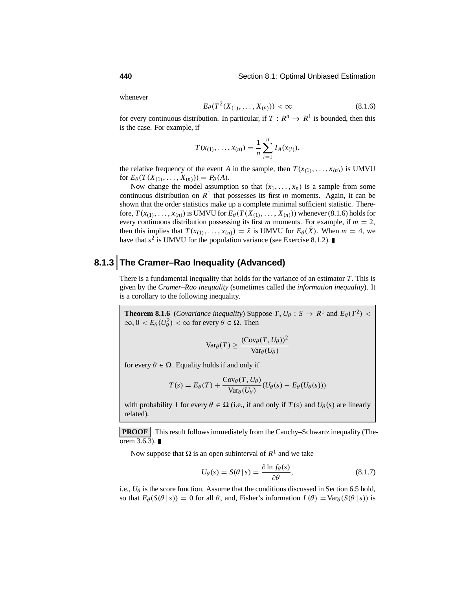whenever

$$
E_{\theta}(T^2(X_{(1)},...,X_{(n)})) < \infty \tag{8.1.6}
$$

for every continuous distribution. In particular, if  $T: R^n \to R^1$  is bounded, then this is the case. For example, if

$$
T(x_{(1)},...,x_{(n)})=\frac{1}{n}\sum_{i=1}^n I_A(x_{(i)}),
$$

the relative frequency of the event *A* in the sample, then  $T(x_{(1)},...,x_{(n)})$  is UMVU for  $E_{\theta}(T(X_{(1)},...,X_{(n)})) = P_{\theta}(A)$ .

Now change the model assumption so that  $(x_1, \ldots, x_n)$  is a sample from some continuous distribution on  $R<sup>1</sup>$  that possesses its first *m* moments. Again, it can be shown that the order statistics make up a complete minimal sufficient statistic. Therefore,  $T(x_{(1)},\ldots,x_{(n)})$  is UMVU for  $E_\theta(T(X_{(1)},\ldots,X_{(n)}))$  whenever (8.1.6) holds for every continuous distribution possessing its first *m* moments. For example, if  $m = 2$ , then this implies that  $T(x_{(1)},...,x_{(n)}) = \overline{x}$  is UMVU for  $E_{\theta}(\overline{X})$ . When  $m = 4$ , we have that  $s^2$  is UMVU for the population variance (see Exercise 8.1.2).

#### **8.1.3 The Cramer–Rao Inequality (Advanced)**

There is a fundamental inequality that holds for the variance of an estimator *T*. This is given by the *Cramer–Rao inequality* (sometimes called the *information inequality*). It is a corollary to the following inequality.

**Theorem 8.1.6** (*Covariance inequality*) Suppose *T*,  $U_{\theta}$  : *S*  $\rightarrow$  *R*<sup>1</sup> and  $E_{\theta}(T^2)$  <  $\infty, 0 < E_{\theta}(U_{\theta}^2) < \infty$  for every  $\theta \in \Omega$ . Then

$$
\text{Var}_{\theta}(T) \geq \frac{(\text{Cov}_{\theta}(T, U_{\theta}))^2}{\text{Var}_{\theta}(U_{\theta})}
$$

for every  $\theta \in \Omega$ . Equality holds if and only if

$$
T(s) = E_{\theta}(T) + \frac{\text{Cov}_{\theta}(T, U_{\theta})}{\text{Var}_{\theta}(U_{\theta})}(U_{\theta}(s) - E_{\theta}(U_{\theta}(s)))
$$

with probability 1 for every  $\theta \in \Omega$  (i.e., if and only if  $T(s)$  and  $U_{\theta}(s)$  are linearly related).

**PROOF** This result follows immediately from the Cauchy–Schwartz inequality (Theorem 3.6.3).

Now suppose that  $\Omega$  is an open subinterval of  $R^1$  and we take

$$
U_{\theta}(s) = S(\theta \mid s) = \frac{\partial \ln f_{\theta}(s)}{\partial \theta}, \qquad (8.1.7)
$$

i.e.,  $U_{\theta}$  is the score function. Assume that the conditions discussed in Section 6.5 hold, so that  $E_{\theta}(S(\theta | s)) = 0$  for all  $\theta$ , and, Fisher's information  $I(\theta) = \text{Var}_{\theta}(S(\theta | s))$  is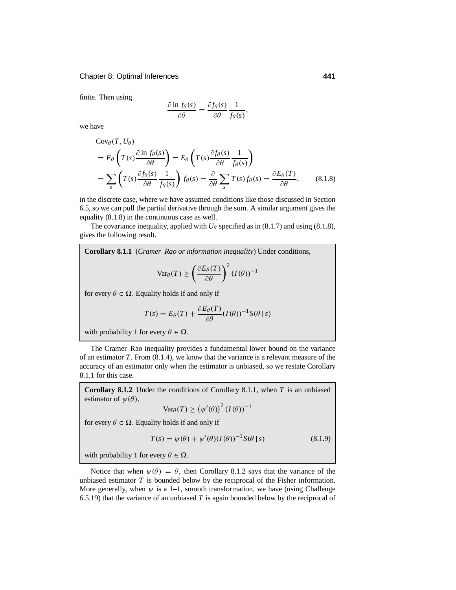#### Chapter 8: Optimal Inferences **441**

finite. Then using

$$
\frac{\partial \ln f_{\theta}(s)}{\partial \theta} = \frac{\partial f_{\theta}(s)}{\partial \theta} \frac{1}{f_{\theta}(s)},
$$

we have

$$
\begin{aligned} &\text{Cov}_{\theta}(T, U_{\theta}) \\ &= E_{\theta} \left( T(s) \frac{\partial \ln f_{\theta}(s)}{\partial \theta} \right) = E_{\theta} \left( T(s) \frac{\partial f_{\theta}(s)}{\partial \theta} \frac{1}{f_{\theta}(s)} \right) \\ &= \sum_{s} \left( T(s) \frac{\partial f_{\theta}(s)}{\partial \theta} \frac{1}{f_{\theta}(s)} \right) f_{\theta}(s) = \frac{\partial}{\partial \theta} \sum_{s} T(s) f_{\theta}(s) = \frac{\partial E_{\theta}(T)}{\partial \theta}, \end{aligned} \tag{8.1.8}
$$

in the discrete case, where we have assumed conditions like those discussed in Section 6.5, so we can pull the partial derivative through the sum. A similar argument gives the equality (8.1.8) in the continuous case as well.

The covariance inequality, applied with  $U_\theta$  specified as in (8.1.7) and using (8.1.8), gives the following result.

**Corollary 8.1.1** (*Cramer–Rao or information inequality*) Under conditions,

$$
\text{Var}_{\theta}(T) \ge \left(\frac{\partial E_{\theta}(T)}{\partial \theta}\right)^2 (I(\theta))^{-1}
$$

for every  $\theta \in \Omega$ . Equality holds if and only if

$$
T(s) = E_{\theta}(T) + \frac{\partial E_{\theta}(T)}{\partial \theta} (I(\theta))^{-1} S(\theta \mid s)
$$

with probability 1 for every  $\theta \in \Omega$ .

The Cramer–Rao inequality provides a fundamental lower bound on the variance of an estimator *T*. From (8.1.4), we know that the variance is a relevant measure of the accuracy of an estimator only when the estimator is unbiased, so we restate Corollary 8.1.1 for this case.

**Corollary 8.1.2** Under the conditions of Corollary 8.1.1, when *T* is an unbiased estimator of  $\psi(\theta)$ ,

$$
\text{Var}_{\theta}(T) \geq (\psi'(\theta))^{2} (I(\theta))^{-1}
$$

for every  $\theta \in \Omega$ . Equality holds if and only if

$$
T(s) = \psi(\theta) + \psi'(\theta) (I(\theta))^{-1} S(\theta \mid s)
$$
\n(8.1.9)

with probability 1 for every  $\theta \in \Omega$ .

Notice that when  $\psi(\theta) = \theta$ , then Corollary 8.1.2 says that the variance of the unbiased estimator *T* is bounded below by the reciprocal of the Fisher information. More generally, when  $\psi$  is a 1–1, smooth transformation, we have (using Challenge 6.5.19) that the variance of an unbiased  $T$  is again bounded below by the reciprocal of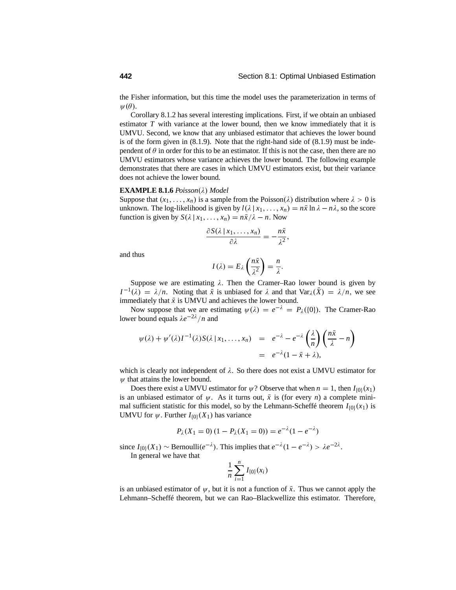the Fisher information, but this time the model uses the parameterization in terms of  $\psi(\theta)$ .

Corollary 8.1.2 has several interesting implications. First, if we obtain an unbiased estimator *T* with variance at the lower bound, then we know immediately that it is UMVU. Second, we know that any unbiased estimator that achieves the lower bound is of the form given in  $(8.1.9)$ . Note that the right-hand side of  $(8.1.9)$  must be independent of  $\theta$  in order for this to be an estimator. If this is not the case, then there are no UMVU estimators whose variance achieves the lower bound. The following example demonstrates that there are cases in which UMVU estimators exist, but their variance does not achieve the lower bound.

#### **EXAMPLE 8.1.6** *Poisson*(λ) *Model*

Suppose that  $(x_1, \ldots, x_n)$  is a sample from the Poisson( $\lambda$ ) distribution where  $\lambda > 0$  is unknown. The log-likelihood is given by  $l(\lambda | x_1, \ldots, x_n) = n\bar{x} \ln \lambda - n\lambda$ , so the score function is given by  $S(\lambda | x_1, \ldots, x_n) = n\bar{x}/\lambda - n$ . Now

$$
\frac{\partial S(\lambda \mid x_1,\ldots,x_n)}{\partial \lambda}=-\frac{n\bar{x}}{\lambda^2},
$$

and thus

$$
I(\lambda) = E_{\lambda} \left( \frac{n \bar{x}}{\lambda^2} \right) = \frac{n}{\lambda}.
$$

Suppose we are estimating  $\lambda$ . Then the Cramer–Rao lower bound is given by  $I^{-1}(\lambda) = \lambda/n$ . Noting that  $\bar{x}$  is unbiased for  $\lambda$  and that Var $\lambda(\bar{X}) = \lambda/n$ , we see immediately that  $\bar{x}$  is UMVU and achieves the lower bound.

Now suppose that we are estimating  $\psi(\lambda) = e^{-\lambda} = P_{\lambda}(\{0\})$ . The Cramer-Rao lower bound equals λ*e*−<sup>2</sup>λ/*n* and

$$
\psi(\lambda) + \psi'(\lambda)I^{-1}(\lambda)S(\lambda \mid x_1, \dots, x_n) = e^{-\lambda} - e^{-\lambda} \left(\frac{\lambda}{n}\right) \left(\frac{n\bar{x}}{\lambda} - n\right)
$$
  
=  $e^{-\lambda}(1 - \bar{x} + \lambda),$ 

which is clearly not independent of  $\lambda$ . So there does not exist a UMVU estimator for  $\psi$  that attains the lower bound.

Does there exist a UMVU estimator for  $\psi$ ? Observe that when  $n = 1$ , then  $I_{\{0\}}(x_1)$ is an unbiased estimator of  $\psi$ . As it turns out,  $\bar{x}$  is (for every *n*) a complete minimal sufficient statistic for this model, so by the Lehmann-Scheffé theorem  $I_{\{0\}}(x_1)$  is UMVU for  $\psi$ . Further  $I_{\{0\}}(X_1)$  has variance

$$
P_{\lambda}(X_1 = 0) (1 - P_{\lambda}(X_1 = 0)) = e^{-\lambda}(1 - e^{-\lambda})
$$

since  $I_{\{0\}}(X_1) \sim \text{Bernoulli}(e^{-\lambda})$ . This implies that  $e^{-\lambda}(1 - e^{-\lambda}) > \lambda e^{-2\lambda}$ .

In general we have that

$$
\frac{1}{n}\sum_{i=1}^n I_{\{0\}}(x_i)
$$

is an unbiased estimator of  $\psi$ , but it is not a function of  $\bar{x}$ . Thus we cannot apply the Lehmann–Scheffé theorem, but we can Rao–Blackwellize this estimator. Therefore,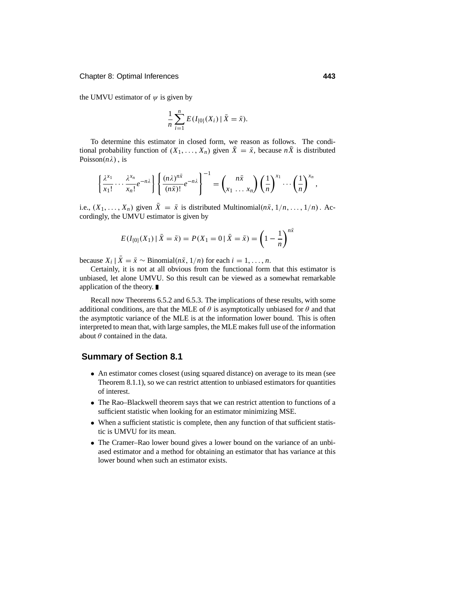the UMVU estimator of  $\psi$  is given by

$$
\frac{1}{n}\sum_{i=1}^n E(I_{\{0\}}(X_i) | \bar{X} = \bar{x}).
$$

To determine this estimator in closed form, we reason as follows. The conditional probability function of  $(X_1, \ldots, X_n)$  given  $\overline{X} = \overline{x}$ , because  $n\overline{X}$  is distributed Poisson $(n\lambda)$ , is

$$
\left\{\frac{\lambda^{x_1}}{x_1!}\cdots\frac{\lambda^{x_n}}{x_n!}e^{-n\lambda}\right\}\left\{\frac{(n\lambda)^{n\bar{x}}}{(n\bar{x})!}e^{-n\lambda}\right\}^{-1}=\binom{n\bar{x}}{x_1\ldots x_n}\left(\frac{1}{n}\right)^{x_1}\cdots\left(\frac{1}{n}\right)^{x_n},\,
$$

i.e.,  $(X_1, \ldots, X_n)$  given  $\overline{X} = \overline{x}$  is distributed Multinomial $(n\overline{x}, 1/n, \ldots, 1/n)$ . Accordingly, the UMVU estimator is given by

$$
E(I_{\{0\}}(X_1) | \bar{X} = \bar{x}) = P(X_1 = 0 | \bar{X} = \bar{x}) = \left(1 - \frac{1}{n}\right)^{n\bar{x}}
$$

because  $X_i | \bar{X} = \bar{x} \sim \text{Binomial}(n\bar{x}, 1/n)$  for each  $i = 1, \ldots, n$ .

Certainly, it is not at all obvious from the functional form that this estimator is unbiased, let alone UMVU. So this result can be viewed as a somewhat remarkable application of the theory.

Recall now Theorems 6.5.2 and 6.5.3. The implications of these results, with some additional conditions, are that the MLE of  $\theta$  is asymptotically unbiased for  $\theta$  and that the asymptotic variance of the MLE is at the information lower bound. This is often interpreted to mean that, with large samples, the MLE makes full use of the information about  $\theta$  contained in the data.

#### **Summary of Section 8.1**

- An estimator comes closest (using squared distance) on average to its mean (see Theorem 8.1.1), so we can restrict attention to unbiased estimators for quantities of interest.
- The Rao–Blackwell theorem says that we can restrict attention to functions of a sufficient statistic when looking for an estimator minimizing MSE.
- When a sufficient statistic is complete, then any function of that sufficient statistic is UMVU for its mean.
- The Cramer–Rao lower bound gives a lower bound on the variance of an unbiased estimator and a method for obtaining an estimator that has variance at this lower bound when such an estimator exists.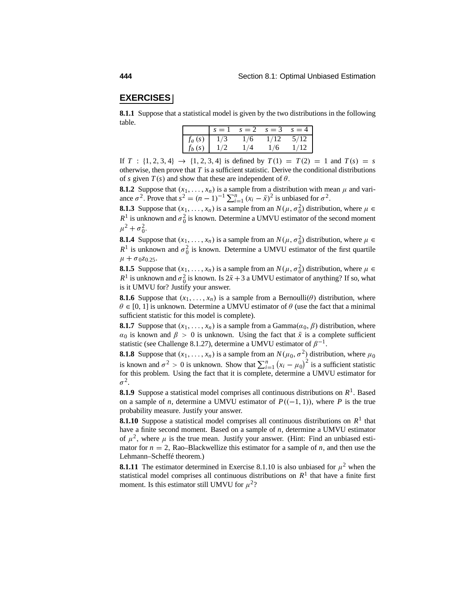#### **EXERCISES**

**8.1.1** Suppose that a statistical model is given by the two distributions in the following table.

|          | $s=1$ | $s=2$ | $s=3$ | $s = 4$ |
|----------|-------|-------|-------|---------|
| $f_a(s)$ | 1/3   | 1/6   | 1/12  | 5/12    |
| $f_b(s)$ | 1/2   | 174   | 1/6   | 1/12    |

If  $T : \{1, 2, 3, 4\} \rightarrow \{1, 2, 3, 4\}$  is defined by  $T(1) = T(2) = 1$  and  $T(s) = s$ otherwise, then prove that  $T$  is a sufficient statistic. Derive the conditional distributions of *s* given  $T(s)$  and show that these are independent of  $\theta$ .

**8.1.2** Suppose that  $(x_1, \ldots, x_n)$  is a sample from a distribution with mean  $\mu$  and variance  $\sigma^2$ . Prove that  $s^2 = (n-1)^{-1} \sum_{i=1}^n (x_i - \bar{x})^2$  is unbiased for  $\sigma^2$ .

**8.1.3** Suppose that  $(x_1, \ldots, x_n)$  is a sample from an  $N(\mu, \sigma_0^2)$  distribution, where  $\mu \in$  $R<sup>1</sup>$  is unknown and  $\sigma_0^2$  is known. Determine a UMVU estimator of the second moment  $\mu^2 + \sigma_0^2$ .

**8.1.4** Suppose that  $(x_1, \ldots, x_n)$  is a sample from an  $N(\mu, \sigma_0^2)$  distribution, where  $\mu \in$  $R<sup>1</sup>$  is unknown and  $\sigma_0^2$  is known. Determine a UMVU estimator of the first quartile  $\mu + \sigma_0 z_{0.25}$ .

**8.1.5** Suppose that  $(x_1, \ldots, x_n)$  is a sample from an  $N(\mu, \sigma_0^2)$  distribution, where  $\mu \in$  $R<sup>1</sup>$  is unknown and  $\sigma_0^2$  is known. Is  $2\bar{x}+3$  a UMVU estimator of anything? If so, what is it UMVU for? Justify your answer.

**8.1.6** Suppose that  $(x_1, \ldots, x_n)$  is a sample from a Bernoulli( $\theta$ ) distribution, where  $\theta \in [0, 1]$  is unknown. Determine a UMVU estimator of  $\theta$  (use the fact that a minimal sufficient statistic for this model is complete).

**8.1.7** Suppose that  $(x_1, \ldots, x_n)$  is a sample from a Gamma $(\alpha_0, \beta)$  distribution, where  $\alpha_0$  is known and  $\beta > 0$  is unknown. Using the fact that  $\bar{x}$  is a complete sufficient statistic (see Challenge 8.1.27), determine a UMVU estimator of  $\beta^{-1}$ .

**8.1.8** Suppose that  $(x_1, \ldots, x_n)$  is a sample from an  $N(\mu_0, \sigma^2)$  distribution, where  $\mu_0$ is known and  $\sigma^2 > 0$  is unknown. Show that  $\sum_{i=1}^n (x_i - \mu_0)^2$  is a sufficient statistic for this problem. Using the fact that it is complete, determine a UMVU estimator for  $\sigma^2$ .

**8.1.9** Suppose a statistical model comprises all continuous distributions on *R*1. Based on a sample of *n*, determine a UMVU estimator of  $P((-1, 1))$ , where *P* is the true probability measure. Justify your answer.

**8.1.10** Suppose a statistical model comprises all continuous distributions on *R*<sup>1</sup> that have a finite second moment. Based on a sample of *n*, determine a UMVU estimator of  $\mu^2$ , where  $\mu$  is the true mean. Justify your answer. (Hint: Find an unbiased estimator for  $n = 2$ , Rao–Blackwellize this estimator for a sample of *n*, and then use the Lehmann–Scheffé theorem.)

**8.1.11** The estimator determined in Exercise 8.1.10 is also unbiased for  $\mu^2$  when the statistical model comprises all continuous distributions on  $R<sup>1</sup>$  that have a finite first moment. Is this estimator still UMVU for  $\mu^2$ ?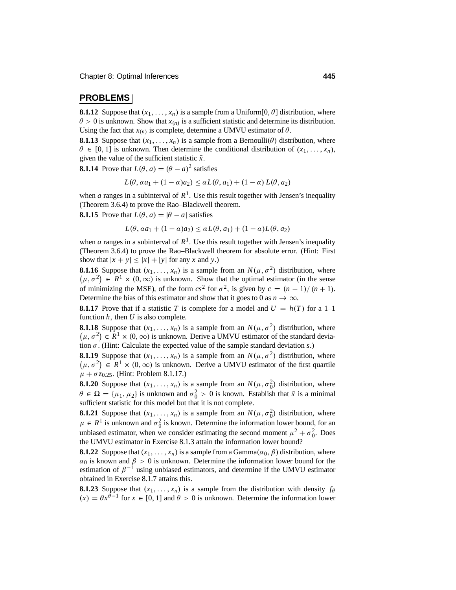Chapter 8: Optimal Inferences **445**

#### **PROBLEMS**

**8.1.12** Suppose that  $(x_1, \ldots, x_n)$  is a sample from a Uniform  $[0, \theta]$  distribution, where  $\theta > 0$  is unknown. Show that  $x_{(n)}$  is a sufficient statistic and determine its distribution. Using the fact that  $x_{(n)}$  is complete, determine a UMVU estimator of  $\theta$ .

**8.1.13** Suppose that  $(x_1, \ldots, x_n)$  is a sample from a Bernoulli( $\theta$ ) distribution, where  $\theta \in [0, 1]$  is unknown. Then determine the conditional distribution of  $(x_1, \ldots, x_n)$ , given the value of the sufficient statistic  $\bar{x}$ .

**8.1.14** Prove that  $L(\theta, a) = (\theta - a)^2$  satisfies

$$
L(\theta, a a_1 + (1 - a)a_2) \le a L(\theta, a_1) + (1 - a) L(\theta, a_2)
$$

when *a* ranges in a subinterval of  $R<sup>1</sup>$ . Use this result together with Jensen's inequality (Theorem 3.6.4) to prove the Rao–Blackwell theorem.

**8.1.15** Prove that  $L(\theta, a) = |\theta - a|$  satisfies

$$
L(\theta, \alpha a_1 + (1 - \alpha)a_2) \leq \alpha L(\theta, a_1) + (1 - \alpha)L(\theta, a_2)
$$

when *a* ranges in a subinterval of  $R<sup>1</sup>$ . Use this result together with Jensen's inequality (Theorem 3.6.4) to prove the Rao–Blackwell theorem for absolute error. (Hint: First show that  $|x + y| \le |x| + |y|$  for any *x* and *y*.)

**8.1.16** Suppose that  $(x_1, \ldots, x_n)$  is a sample from an  $N(\mu, \sigma^2)$  distribution, where  $(\mu, \sigma^2) \in R^1 \times (0, \infty)$  is unknown. Show that the optimal estimator (in the sense of minimizing the MSE), of the form  $cs^2$  for  $\sigma^2$ , is given by  $c = (n-1)/(n+1)$ . Determine the bias of this estimator and show that it goes to 0 as  $n \to \infty$ .

**8.1.17** Prove that if a statistic *T* is complete for a model and  $U = h(T)$  for a 1–1 function *h*, then *U* is also complete.

**8.1.18** Suppose that  $(x_1, \ldots, x_n)$  is a sample from an  $N(\mu, \sigma^2)$  distribution, where  $(\mu, \sigma^2) \in R^1 \times (0, \infty)$  is unknown. Derive a UMVU estimator of the standard deviation σ. (Hint: Calculate the expected value of the sample standard deviation *s*.)

**8.1.19** Suppose that  $(x_1, \ldots, x_n)$  is a sample from an  $N(\mu, \sigma^2)$  distribution, where  $(\mu, \sigma^2) \in R^1 \times (0, \infty)$  is unknown. Derive a UMVU estimator of the first quartile  $\mu + \sigma z_{0.25}$ . (Hint: Problem 8.1.17.)

**8.1.20** Suppose that  $(x_1, \ldots, x_n)$  is a sample from an  $N(\mu, \sigma_0^2)$  distribution, where  $\theta \in \Omega = {\mu_1, \mu_2}$  is unknown and  $\sigma_0^2 > 0$  is known. Establish that  $\bar{x}$  is a minimal sufficient statistic for this model but that it is not complete.

**8.1.21** Suppose that  $(x_1, \ldots, x_n)$  is a sample from an  $N(\mu, \sigma_0^2)$  distribution, where  $\mu \in R^1$  is unknown and  $\sigma_0^2$  is known. Determine the information lower bound, for an unbiased estimator, when we consider estimating the second moment  $\mu^2 + \sigma_0^2$ . Does the UMVU estimator in Exercise 8.1.3 attain the information lower bound?

**8.1.22** Suppose that  $(x_1, \ldots, x_n)$  is a sample from a Gamma $(\alpha_0, \beta)$  distribution, where  $\alpha_0$  is known and  $\beta > 0$  is unknown. Determine the information lower bound for the estimation of  $\beta^{-1}$  using unbiased estimators, and determine if the UMVU estimator obtained in Exercise 8.1.7 attains this.

**8.1.23** Suppose that  $(x_1, \ldots, x_n)$  is a sample from the distribution with density  $f_\theta$  $f(x) = \theta x^{\hat{\theta}-1}$  for  $x \in [0, 1]$  and  $\theta > 0$  is unknown. Determine the information lower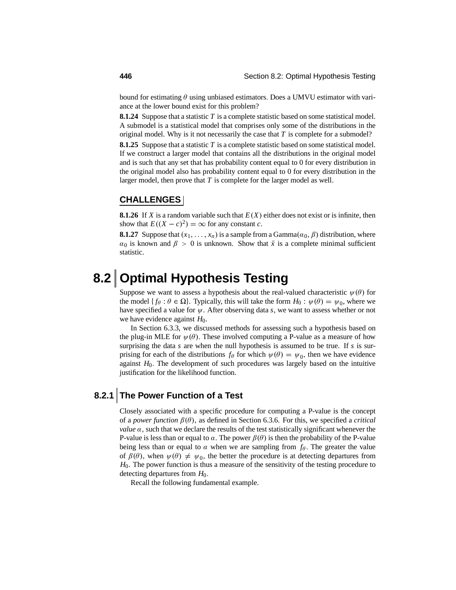bound for estimating  $\theta$  using unbiased estimators. Does a UMVU estimator with variance at the lower bound exist for this problem?

**8.1.24** Suppose that a statistic *T* is a complete statistic based on some statistical model. A submodel is a statistical model that comprises only some of the distributions in the original model. Why is it not necessarily the case that *T* is complete for a submodel?

**8.1.25** Suppose that a statistic *T* is a complete statistic based on some statistical model. If we construct a larger model that contains all the distributions in the original model and is such that any set that has probability content equal to 0 for every distribution in the original model also has probability content equal to 0 for every distribution in the larger model, then prove that *T* is complete for the larger model as well.

#### **CHALLENGES**

**8.1.26** If *X* is a random variable such that *E*(*X*) either does not exist or is infinite, then show that  $E((X - c)^2) = \infty$  for any constant *c*.

**8.1.27** Suppose that  $(x_1, \ldots, x_n)$  is a sample from a Gamma $(\alpha_0, \beta)$  distribution, where  $\alpha_0$  is known and  $\beta > 0$  is unknown. Show that  $\bar{x}$  is a complete minimal sufficient statistic.

### **8.2 Optimal Hypothesis Testing**

Suppose we want to assess a hypothesis about the real-valued characteristic  $\psi(\theta)$  for the model { $f_{\theta}$  :  $\theta \in \Omega$ }. Typically, this will take the form  $H_0$  :  $\psi(\theta) = \psi_0$ , where we have specified a value for  $\psi$ . After observing data *s*, we want to assess whether or not we have evidence against  $H_0$ .

In Section 6.3.3, we discussed methods for assessing such a hypothesis based on the plug-in MLE for  $\psi(\theta)$ . These involved computing a P-value as a measure of how surprising the data *s* are when the null hypothesis is assumed to be true. If *s* is surprising for each of the distributions  $f_{\theta}$  for which  $\psi(\theta) = \psi_0$ , then we have evidence against *H*0. The development of such procedures was largely based on the intuitive justification for the likelihood function.

### **8.2.1 The Power Function of a Test**

Closely associated with a specific procedure for computing a P-value is the concept of a *power function* β(θ ), as defined in Section 6.3.6. For this, we specified a *critical value*  $\alpha$ , such that we declare the results of the test statistically significant whenever the P-value is less than or equal to  $\alpha$ . The power  $\beta(\theta)$  is then the probability of the P-value being less than or equal to  $\alpha$  when we are sampling from  $f_{\theta}$ . The greater the value of  $\beta(\theta)$ , when  $\psi(\theta) \neq \psi_0$ , the better the procedure is at detecting departures from *H*<sub>0</sub>. The power function is thus a measure of the sensitivity of the testing procedure to detecting departures from *H*0.

Recall the following fundamental example.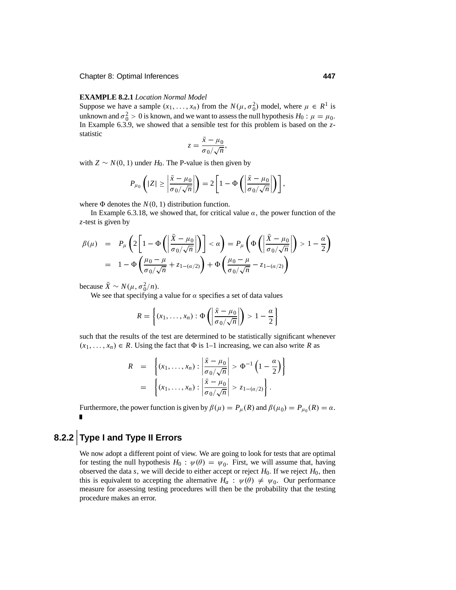Chapter 8: Optimal Inferences **447**

#### **EXAMPLE 8.2.1** *Location Normal Model*

Suppose we have a sample  $(x_1, \ldots, x_n)$  from the  $N(\mu, \sigma_0^2)$  model, where  $\mu \in R^1$  is unknown and  $\sigma_0^2 > 0$  is known, and we want to assess the null hypothesis  $H_0: \mu = \mu_0$ . In Example 6.3.9, we showed that a sensible test for this problem is based on the *z*statistic

$$
z = \frac{\bar{x} - \mu_0}{\sigma_0 / \sqrt{n}},
$$

with  $Z \sim N(0, 1)$  under  $H_0$ . The P-value is then given by

$$
P_{\mu_0}\left(|Z| \geq \left|\frac{\bar{x} - \mu_0}{\sigma_0/\sqrt{n}}\right|\right) = 2\left[1 - \Phi\left(\left|\frac{\bar{x} - \mu_0}{\sigma_0/\sqrt{n}}\right|\right)\right],
$$

where  $\Phi$  denotes the  $N(0, 1)$  distribution function.

In Example 6.3.18, we showed that, for critical value  $\alpha$ , the power function of the *z*-test is given by

$$
\beta(\mu) = P_{\mu}\left(2\left[1-\Phi\left(\left|\frac{\bar{X}-\mu_0}{\sigma_0/\sqrt{n}}\right|\right)\right] < \alpha\right) = P_{\mu}\left(\Phi\left(\left|\frac{\bar{X}-\mu_0}{\sigma_0/\sqrt{n}}\right|\right) > 1-\frac{\alpha}{2}\right) \\
= 1 - \Phi\left(\frac{\mu_0-\mu}{\sigma_0/\sqrt{n}} + z_{1-(\alpha/2)}\right) + \Phi\left(\frac{\mu_0-\mu}{\sigma_0/\sqrt{n}} - z_{1-(\alpha/2)}\right)
$$

because  $\bar{X} \sim N(\mu, \sigma_0^2/n)$ .

We see that specifying a value for  $\alpha$  specifies a set of data values

$$
R = \left\{ (x_1, \ldots, x_n) : \Phi\left( \left| \frac{\bar{x} - \mu_0}{\sigma_0 / \sqrt{n}} \right| \right) > 1 - \frac{\alpha}{2} \right\}
$$

such that the results of the test are determined to be statistically significant whenever  $(x_1, \ldots, x_n) \in R$ . Using the fact that  $\Phi$  is 1–1 increasing, we can also write R as

$$
R = \left\{ (x_1, \ldots, x_n) : \left| \frac{\bar{x} - \mu_0}{\sigma_0 / \sqrt{n}} \right| > \Phi^{-1} \left( 1 - \frac{\alpha}{2} \right) \right\}
$$
  
= 
$$
\left\{ (x_1, \ldots, x_n) : \left| \frac{\bar{x} - \mu_0}{\sigma_0 / \sqrt{n}} \right| > z_{1 - (\alpha/2)} \right\}.
$$

Furthermore, the power function is given by  $\beta(\mu) = P_{\mu}(R)$  and  $\beta(\mu_0) = P_{\mu_0}(R) = \alpha$ .

### **8.2.2 Type I and Type II Errors**

We now adopt a different point of view. We are going to look for tests that are optimal for testing the null hypothesis  $H_0$ :  $\psi(\theta) = \psi_0$ . First, we will assume that, having observed the data *s*, we will decide to either accept or reject  $H_0$ . If we reject  $H_0$ , then this is equivalent to accepting the alternative  $H_a$ :  $\psi(\theta) \neq \psi_0$ . Our performance measure for assessing testing procedures will then be the probability that the testing procedure makes an error.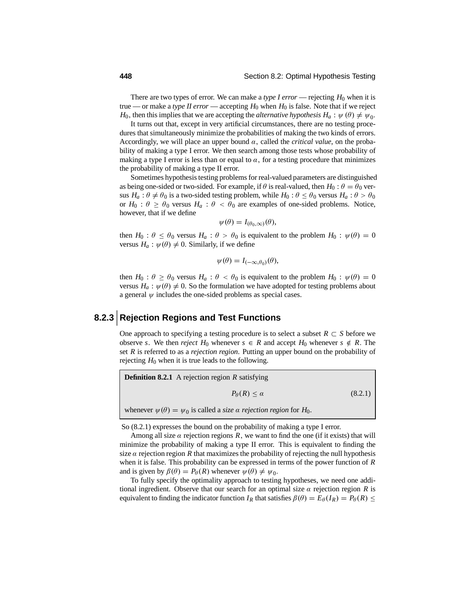There are two types of error. We can make a *type I error* — rejecting  $H_0$  when it is true — or make a *type II error* — accepting  $H_0$  when  $H_0$  is false. Note that if we reject *H*<sub>0</sub>, then this implies that we are accepting the *alternative hypothesis*  $H_a$ :  $\psi$  ( $\theta$ )  $\neq \psi_0$ .

It turns out that, except in very artificial circumstances, there are no testing procedures that simultaneously minimize the probabilities of making the two kinds of errors. Accordingly, we will place an upper bound α, called the *critical value*, on the probability of making a type I error. We then search among those tests whose probability of making a type I error is less than or equal to  $\alpha$ , for a testing procedure that minimizes the probability of making a type II error.

Sometimes hypothesis testing problems for real-valued parameters are distinguished as being one-sided or two-sided. For example, if  $\theta$  is real-valued, then  $H_0$ :  $\theta = \theta_0$  versus  $H_a: \theta \neq \theta_0$  is a two-sided testing problem, while  $H_0: \theta \leq \theta_0$  versus  $H_a: \theta > \theta_0$ or  $H_0: \theta \ge \theta_0$  versus  $H_a: \theta < \theta_0$  are examples of one-sided problems. Notice, however, that if we define

$$
\psi(\theta) = I_{(\theta_0,\infty)}(\theta),
$$

then  $H_0: \theta \leq \theta_0$  versus  $H_a: \theta > \theta_0$  is equivalent to the problem  $H_0: \psi(\theta) = 0$ versus  $H_a$ :  $\psi(\theta) \neq 0$ . Similarly, if we define

$$
\psi(\theta) = I_{(-\infty,\theta_0)}(\theta),
$$

then  $H_0: \theta \geq \theta_0$  versus  $H_a: \theta < \theta_0$  is equivalent to the problem  $H_0: \psi(\theta) = 0$ versus  $H_a$ :  $\psi(\theta) \neq 0$ . So the formulation we have adopted for testing problems about a general  $\psi$  includes the one-sided problems as special cases.

### **8.2.3 Rejection Regions and Test Functions**

One approach to specifying a testing procedure is to select a subset  $R \subset S$  before we observe *s*. We then *reject*  $H_0$  whenever  $s \in R$  and accept  $H_0$  whenever  $s \notin R$ . The set *R* is referred to as a *rejection region*. Putting an upper bound on the probability of rejecting  $H_0$  when it is true leads to the following.

| <b>Definition 8.2.1</b> A rejection region R satisfying                                 |         |
|-----------------------------------------------------------------------------------------|---------|
| $P_{\theta}(R) < \alpha$                                                                | (8.2.1) |
| whenever $\psi(\theta) = \psi_0$ is called a size $\alpha$ rejection region for $H_0$ . |         |
|                                                                                         |         |

So (8.2.1) expresses the bound on the probability of making a type I error.

Among all size  $\alpha$  rejection regions R, we want to find the one (if it exists) that will minimize the probability of making a type II error. This is equivalent to finding the size  $\alpha$  rejection region  $R$  that maximizes the probability of rejecting the null hypothesis when it is false. This probability can be expressed in terms of the power function of *R* and is given by  $\beta(\theta) = P_{\theta}(R)$  whenever  $\psi(\theta) \neq \psi_0$ .

To fully specify the optimality approach to testing hypotheses, we need one additional ingredient. Observe that our search for an optimal size  $\alpha$  rejection region R is equivalent to finding the indicator function *IR* that satisfies  $\beta(\theta) = E_{\theta}(I_R) = P_{\theta}(R) \le$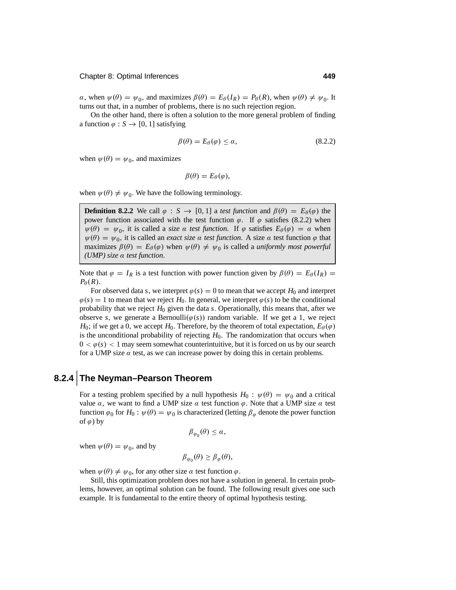$\alpha$ , when  $\psi(\theta) = \psi_0$ , and maximizes  $\beta(\theta) = E_\theta(I_R) = P_\theta(R)$ , when  $\psi(\theta) \neq \psi_0$ . It turns out that, in a number of problems, there is no such rejection region.

On the other hand, there is often a solution to the more general problem of finding a function  $\varphi : S \to [0, 1]$  satisfying

$$
\beta(\theta) = E_{\theta}(\varphi) \le \alpha, \tag{8.2.2}
$$

when  $\psi(\theta) = \psi_0$ , and maximizes

$$
\beta(\theta)=E_{\theta}(\varphi),
$$

when  $\psi(\theta) \neq \psi_0$ . We have the following terminology.

**Definition 8.2.2** We call  $\varphi$  : *S*  $\rightarrow$  [0, 1] a *test function* and  $\beta(\theta) = E_{\theta}(\varphi)$  the power function associated with the test function  $\varphi$ . If  $\varphi$  satisfies (8.2.2) when  $\psi(\theta) = \psi_0$ , it is called a *size*  $\alpha$  *test function*. If  $\varphi$  satisfies  $E_\theta(\varphi) = \alpha$  when  $\psi(\theta) = \psi_0$ , it is called an *exact size* a *test function*. A size a test function  $\varphi$  that maximizes  $\beta(\theta) = E_{\theta}(\varphi)$  when  $\psi(\theta) \neq \psi_0$  is called a *uniformly most powerful (UMP) size* α *test function*.

Note that  $\varphi = I_R$  is a test function with power function given by  $\beta(\theta) = E_{\theta}(I_R)$  $P_{\theta}(R)$ .

For observed data *s*, we interpret  $\varphi(s) = 0$  to mean that we accept  $H_0$  and interpret  $\varphi(s) = 1$  to mean that we reject  $H_0$ . In general, we interpret  $\varphi(s)$  to be the conditional probability that we reject  $H_0$  given the data *s*. Operationally, this means that, after we observe *s*, we generate a Bernoulli( $\varphi(s)$ ) random variable. If we get a 1, we reject *H*<sub>0</sub>; if we get a 0, we accept *H*<sub>0</sub>. Therefore, by the theorem of total expectation,  $E_{\theta}(\varphi)$ is the unconditional probability of rejecting  $H_0$ . The randomization that occurs when  $0 < \varphi(s) < 1$  may seem somewhat counterintuitive, but it is forced on us by our search for a UMP size  $\alpha$  test, as we can increase power by doing this in certain problems.

### **8.2.4 The Neyman–Pearson Theorem**

For a testing problem specified by a null hypothesis  $H_0$ :  $\psi(\theta) = \psi_0$  and a critical value  $\alpha$ , we want to find a UMP size  $\alpha$  test function  $\varphi$ . Note that a UMP size  $\alpha$  test function  $\varphi_0$  for  $H_0$ :  $\psi(\theta) = \psi_0$  is characterized (letting  $\beta_\theta$  denote the power function of  $\varphi$ ) by

$$
\beta_{\varphi_0}(\theta) \leq \alpha,
$$

when  $\psi(\theta) = \psi_0$ , and by

$$
\beta_{\varphi_0}(\theta) \ge \beta_{\varphi}(\theta),
$$

when  $\psi(\theta) \neq \psi_0$ , for any other size  $\alpha$  test function  $\varphi$ .

Still, this optimization problem does not have a solution in general. In certain problems, however, an optimal solution can be found. The following result gives one such example. It is fundamental to the entire theory of optimal hypothesis testing.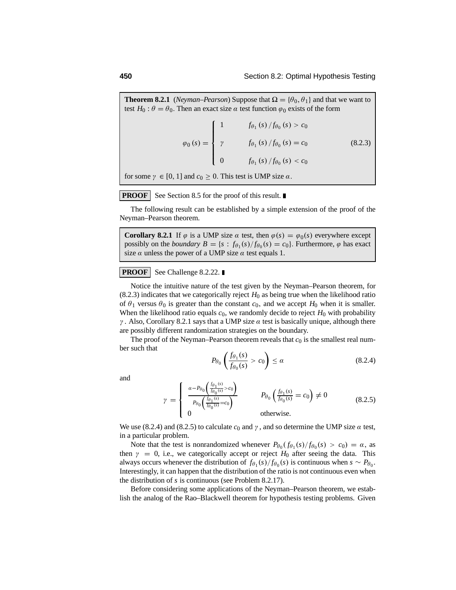**Theorem 8.2.1** (*Neyman–Pearson*) Suppose that  $\Omega = {\theta_0, \theta_1}$  and that we want to test  $H_0: \theta = \theta_0$ . Then an exact size  $\alpha$  test function  $\varphi_0$  exists of the form  $\varphi_0(s) =$  $\sqrt{ }$  $\overline{\phantom{a}}$  $\overline{\phantom{a}}$ 1  $f_{\theta_1}(s) / f_{\theta_0}(s) > c_0$ *f*θ<sub>1</sub> (*s*) /*f*θ<sub>0</sub> (*s*) = *c*<sub>0</sub> 0  $f_{\theta_1}(s) / f_{\theta_0}(s) < c_0$ (8.2.3) for some  $\gamma \in [0, 1]$  and  $c_0 \ge 0$ . This test is UMP size  $\alpha$ .

#### **PROOF** See Section 8.5 for the proof of this result.

The following result can be established by a simple extension of the proof of the Neyman–Pearson theorem.

**Corollary 8.2.1** If  $\varphi$  is a UMP size  $\alpha$  test, then  $\varphi(s) = \varphi_0(s)$  everywhere except possibly on the *boundary*  $B = \{s : f_{\theta_1}(s)/f_{\theta_0}(s) = c_0\}$ . Furthermore,  $\varphi$  has exact size  $\alpha$  unless the power of a UMP size  $\alpha$  test equals 1.

#### **PROOF** See Challenge 8.2.22.

Notice the intuitive nature of the test given by the Neyman–Pearson theorem, for  $(8.2.3)$  indicates that we categorically reject  $H_0$  as being true when the likelihood ratio of  $\theta_1$  versus  $\theta_0$  is greater than the constant  $c_0$ , and we accept  $H_0$  when it is smaller. When the likelihood ratio equals  $c_0$ , we randomly decide to reject  $H_0$  with probability  $\gamma$ . Also, Corollary 8.2.1 says that a UMP size  $\alpha$  test is basically unique, although there are possibly different randomization strategies on the boundary.

The proof of the Neyman–Pearson theorem reveals that  $c_0$  is the smallest real number such that

$$
P_{\theta_0} \left( \frac{f_{\theta_1}(s)}{f_{\theta_0}(s)} > c_0 \right) \le \alpha \tag{8.2.4}
$$

and

$$
\gamma = \begin{cases}\n\frac{a - P_{\theta_0} \left( \frac{f_{\theta_1}(s)}{f_{\theta_0}(s)} > c_0 \right)}{P_{\theta_0} \left( \frac{f_{\theta_1}(s)}{f_{\theta_0}(s)} = c_0 \right)} & P_{\theta_0} \left( \frac{f_{\theta_1}(s)}{f_{\theta_0}(s)} = c_0 \right) \neq 0 \\
0 & \text{otherwise.}\n\end{cases} \tag{8.2.5}
$$

We use (8.2.4) and (8.2.5) to calculate  $c_0$  and  $\gamma$ , and so determine the UMP size  $\alpha$  test, in a particular problem.

Note that the test is nonrandomized whenever  $P_{\theta_0}(f_{\theta_1}(s)/f_{\theta_0}(s) > c_0) = \alpha$ , as then  $\gamma = 0$ , i.e., we categorically accept or reject  $H_0$  after seeing the data. This always occurs whenever the distribution of  $f_{\theta_1}(s)/f_{\theta_0}(s)$  is continuous when  $s \sim P_{\theta_0}$ . Interestingly, it can happen that the distribution of the ratio is not continuous even when the distribution of *s* is continuous (see Problem 8.2.17).

Before considering some applications of the Neyman–Pearson theorem, we establish the analog of the Rao–Blackwell theorem for hypothesis testing problems. Given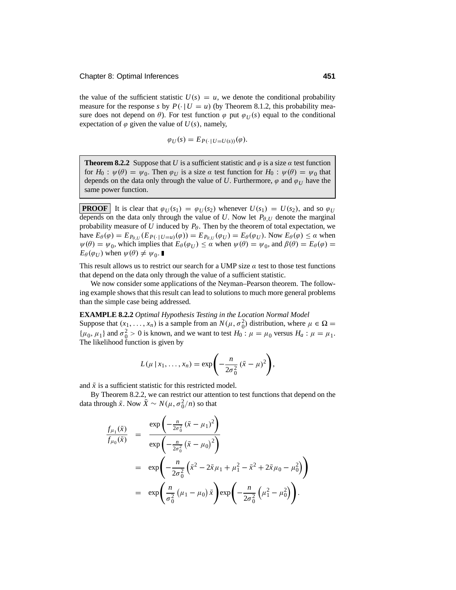the value of the sufficient statistic  $U(s) = u$ , we denote the conditional probability measure for the response *s* by  $P(\cdot | U = u)$  (by Theorem 8.1.2, this probability measure does not depend on  $\theta$ ). For test function  $\varphi$  put  $\varphi_{U}(s)$  equal to the conditional expectation of  $\varphi$  given the value of  $U(s)$ , namely,

$$
\varphi_U(s) = E_{P(\cdot | U = U(s))}(\varphi).
$$

**Theorem 8.2.2** Suppose that *U* is a sufficient statistic and  $\varphi$  is a size  $\alpha$  test function for  $H_0$ :  $\psi(\theta) = \psi_0$ . Then  $\varphi_U$  is a size  $\alpha$  test function for  $H_0$ :  $\psi(\theta) = \psi_0$  that depends on the data only through the value of *U*. Furthermore,  $\varphi$  and  $\varphi$ <sub>*U*</sub> have the same power function.

**PROOF** It is clear that  $\varphi_U(s_1) = \varphi_U(s_2)$  whenever  $U(s_1) = U(s_2)$ , and so  $\varphi_U$ depends on the data only through the value of *U*. Now let  $P_{\theta, U}$  denote the marginal probability measure of *U* induced by  $P_{\theta}$ . Then by the theorem of total expectation, we have  $E_{\theta}(\varphi) = E_{P_{\theta,U}}(E_{P(\cdot | U=u)}(\varphi)) = E_{P_{\theta,U}}(\varphi_U) = E_{\theta}(\varphi_U)$ . Now  $E_{\theta}(\varphi) \leq \alpha$  when  $\psi(\theta) = \psi_0$ , which implies that  $E_\theta(\varphi_U) \leq \alpha$  when  $\psi(\theta) = \psi_0$ , and  $\beta(\theta) = E_\theta(\varphi) =$  $E_{\theta}(\varphi_U)$  when  $\psi(\theta) \neq \psi_0$ .

This result allows us to restrict our search for a UMP size  $\alpha$  test to those test functions that depend on the data only through the value of a sufficient statistic.

We now consider some applications of the Neyman–Pearson theorem. The following example shows that this result can lead to solutions to much more general problems than the simple case being addressed.

**EXAMPLE 8.2.2** *Optimal Hypothesis Testing in the Location Normal Model* Suppose that  $(x_1, \ldots, x_n)$  is a sample from an  $N(\mu, \sigma_0^2)$  distribution, where  $\mu \in \Omega$  $\{\mu_0, \mu_1\}$  and  $\sigma_0^2 > 0$  is known, and we want to test  $H_0$ :  $\mu = \mu_0$  versus  $H_a$ :  $\mu = \mu_1$ . The likelihood function is given by

$$
L(\mu \mid x_1,\ldots,x_n)=\exp\left(-\frac{n}{2\sigma_0^2}(\bar{x}-\mu)^2\right),\,
$$

and  $\bar{x}$  is a sufficient statistic for this restricted model.

By Theorem 8.2.2, we can restrict our attention to test functions that depend on the data through  $\bar{x}$ . Now  $\bar{X} \sim N(\mu, \sigma_0^2/n)$  so that

$$
\frac{f_{\mu_1}(\bar{x})}{f_{\mu_0}(\bar{x})} = \frac{\exp\left(-\frac{n}{2\sigma_0^2}(\bar{x} - \mu_1)^2\right)}{\exp\left(-\frac{n}{2\sigma_0^2}(\bar{x} - \mu_0)^2\right)}
$$
\n
$$
= \exp\left(-\frac{n}{2\sigma_0^2}\left(\bar{x}^2 - 2\bar{x}\mu_1 + \mu_1^2 - \bar{x}^2 + 2\bar{x}\mu_0 - \mu_0^2\right)\right)
$$
\n
$$
= \exp\left(\frac{n}{\sigma_0^2}(\mu_1 - \mu_0)\bar{x}\right) \exp\left(-\frac{n}{2\sigma_0^2}\left(\mu_1^2 - \mu_0^2\right)\right).
$$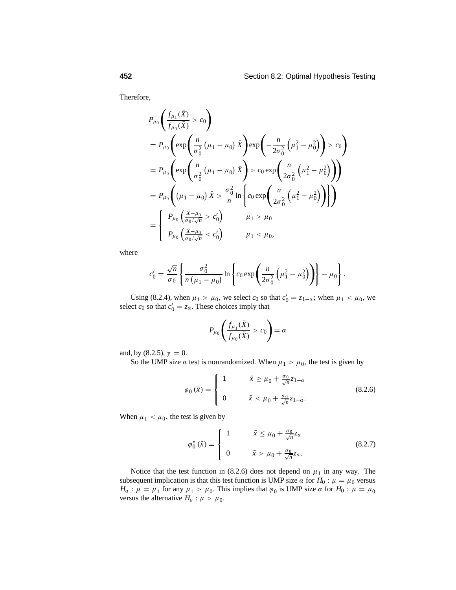Therefore,

$$
P_{\mu_0}\left(\frac{f_{\mu_1}(\bar{X})}{f_{\mu_0}(\bar{X})}>c_0\right)
$$
  
=  $P_{\mu_0}\left(\exp\left(\frac{n}{\sigma_0^2}(\mu_1-\mu_0)\bar{X}\right)\exp\left(-\frac{n}{2\sigma_0^2}(\mu_1^2-\mu_0^2)\right)>c_0\right)$   
=  $P_{\mu_0}\left(\exp\left(\frac{n}{\sigma_0^2}(\mu_1-\mu_0)\bar{X}\right)>c_0\exp\left(\frac{n}{2\sigma_0^2}(\mu_1^2-\mu_0^2)\right)\right)$   
=  $P_{\mu_0}\left((\mu_1-\mu_0)\bar{X}>\frac{\sigma_0^2}{n}\ln\left\{c_0\exp\left(\frac{n}{2\sigma_0^2}(\mu_1^2-\mu_0^2)\right)\right\}\right)$   
=  $\left\{\begin{array}{cc} P_{\mu_0}\left(\frac{\bar{X}-\mu_0}{\sigma_0/\sqrt{n}}>c'_0\right) & \mu_1>\mu_0 \\ P_{\mu_0}\left(\frac{\bar{X}-\mu_0}{\sigma_0/\sqrt{n}}$ 

where

$$
c'_0 = \frac{\sqrt{n}}{\sigma_0} \left\{ \frac{\sigma_0^2}{n \left(\mu_1 - \mu_0\right)} \ln \left\{ c_0 \exp \left( \frac{n}{2\sigma_0^2} \left(\mu_1^2 - \mu_0^2 \right) \right) \right\} - \mu_0 \right\}.
$$

Using (8.2.4), when  $\mu_1 > \mu_0$ , we select  $c_0$  so that  $c'_0 = z_{1-\alpha}$ ; when  $\mu_1 < \mu_0$ , we select *c*<sub>0</sub> so that  $c'_0 = z_\alpha$ . These choices imply that

$$
P_{\mu_0}\left(\frac{f_{\mu_1}(\bar{X})}{f_{\mu_0}(\bar{X})}>c_0\right)=\alpha
$$

and, by (8.2.5),  $\gamma = 0$ .

So the UMP size  $\alpha$  test is nonrandomized. When  $\mu_1 > \mu_0$ , the test is given by

$$
\varphi_0(\bar{x}) = \begin{cases} 1 & \bar{x} \ge \mu_0 + \frac{\sigma_0}{\sqrt{n}} z_{1-\alpha} \\ 0 & \bar{x} < \mu_0 + \frac{\sigma_0}{\sqrt{n}} z_{1-\alpha} . \end{cases}
$$
(8.2.6)

When  $\mu_1 < \mu_0$ , the test is given by

$$
\varphi_0^*(\bar{x}) = \begin{cases} 1 & \bar{x} \le \mu_0 + \frac{\sigma_0}{\sqrt{n}} z_\alpha \\ 0 & \bar{x} > \mu_0 + \frac{\sigma_0}{\sqrt{n}} z_\alpha. \end{cases}
$$
(8.2.7)

Notice that the test function in (8.2.6) does not depend on  $\mu_1$  in any way. The subsequent implication is that this test function is UMP size  $\alpha$  for  $H_0$ :  $\mu = \mu_0$  versus *H<sub>a</sub>* :  $\mu = \mu_1$  for any  $\mu_1 > \mu_0$ . This implies that  $\varphi_0$  is UMP size  $\alpha$  for *H*<sub>0</sub> :  $\mu = \mu_0$ versus the alternative  $H_a$ :  $\mu > \mu_0$ .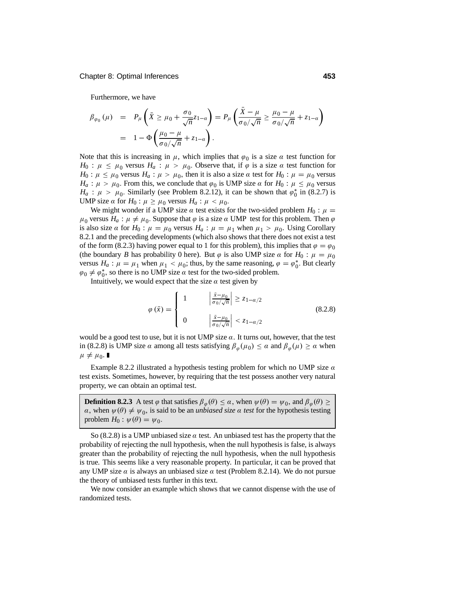Furthermore, we have

$$
\beta_{\varphi_0}(\mu) = P_{\mu} \left( \bar{X} \ge \mu_0 + \frac{\sigma_0}{\sqrt{n}} z_{1-\alpha} \right) = P_{\mu} \left( \frac{\bar{X} - \mu}{\sigma_0/\sqrt{n}} \ge \frac{\mu_0 - \mu}{\sigma_0/\sqrt{n}} + z_{1-\alpha} \right)
$$

$$
= 1 - \Phi \left( \frac{\mu_0 - \mu}{\sigma_0/\sqrt{n}} + z_{1-\alpha} \right).
$$

Note that this is increasing in  $\mu$ , which implies that  $\varphi_0$  is a size  $\alpha$  test function for *H*<sub>0</sub> :  $\mu \leq \mu_0$  versus *H<sub>a</sub>* :  $\mu > \mu_0$ . Observe that, if  $\varphi$  is a size  $\alpha$  test function for *H*<sub>0</sub> :  $\mu \leq \mu_0$  versus *H<sub>a</sub>* :  $\mu > \mu_0$ , then it is also a size  $\alpha$  test for *H*<sub>0</sub> :  $\mu = \mu_0$  versus *H<sub>a</sub>* :  $\mu > \mu_0$ . From this, we conclude that  $\varphi_0$  is UMP size  $\alpha$  for *H*<sub>0</sub> :  $\mu \leq \mu_0$  versus *H<sub>a</sub>* :  $\mu > \mu_0$ . Similarly (see Problem 8.2.12), it can be shown that  $\varphi_0^*$  in (8.2.7) is UMP size  $\alpha$  for  $H_0: \mu \geq \mu_0$  versus  $H_a: \mu < \mu_0$ .

We might wonder if a UMP size  $\alpha$  test exists for the two-sided problem  $H_0$ :  $\mu =$  $\mu_0$  versus  $H_a$ :  $\mu \neq \mu_0$ . Suppose that  $\varphi$  is a size  $\alpha$  UMP test for this problem. Then  $\varphi$ is also size  $\alpha$  for  $H_0$ :  $\mu = \mu_0$  versus  $H_a$ :  $\mu = \mu_1$  when  $\mu_1 > \mu_0$ . Using Corollary 8.2.1 and the preceding developments (which also shows that there does not exist a test of the form (8.2.3) having power equal to 1 for this problem), this implies that  $\varphi = \varphi_0$ (the boundary *B* has probability 0 here). But  $\varphi$  is also UMP size  $\alpha$  for  $H_0$ :  $\mu = \mu_0$ versus  $H_a: \mu = \mu_1$  when  $\mu_1 < \mu_0$ ; thus, by the same reasoning,  $\varphi = \varphi_0^*$ . But clearly  $\varphi_0 \neq \varphi_0^*$ , so there is no UMP size  $\alpha$  test for the two-sided problem.

Intuitively, we would expect that the size  $\alpha$  test given by

$$
\varphi(\bar{x}) = \begin{cases}\n1 & \left|\frac{\bar{x} - \mu_0}{\sigma_0/\sqrt{n}}\right| \ge z_{1 - \alpha/2} \\
0 & \left|\frac{\bar{x} - \mu_0}{\sigma_0/\sqrt{n}}\right| < z_{1 - \alpha/2}\n\end{cases}\n\tag{8.2.8}
$$

would be a good test to use, but it is not UMP size  $\alpha$ . It turns out, however, that the test in (8.2.8) is UMP size  $\alpha$  among all tests satisfying  $\beta_{\varphi}(\mu_0) \leq \alpha$  and  $\beta_{\varphi}(\mu) \geq \alpha$  when  $\mu \neq \mu_0$ .

Example 8.2.2 illustrated a hypothesis testing problem for which no UMP size  $\alpha$ test exists. Sometimes, however, by requiring that the test possess another very natural property, we can obtain an optimal test.

**Definition 8.2.3** A test  $\varphi$  that satisfies  $\beta_{\varphi}(\theta) \leq \alpha$ , when  $\psi(\theta) = \psi_0$ , and  $\beta_{\varphi}(\theta) \geq \alpha$  $\alpha$ , when  $\psi(\theta) \neq \psi_0$ , is said to be an *unbiased size*  $\alpha$  *test* for the hypothesis testing problem  $H_0$ :  $\psi(\theta) = \psi_0$ .

So (8.2.8) is a UMP unbiased size  $\alpha$  test. An unbiased test has the property that the probability of rejecting the null hypothesis, when the null hypothesis is false, is always greater than the probability of rejecting the null hypothesis, when the null hypothesis is true. This seems like a very reasonable property. In particular, it can be proved that any UMP size  $\alpha$  is always an unbiased size  $\alpha$  test (Problem 8.2.14). We do not pursue the theory of unbiased tests further in this text.

We now consider an example which shows that we cannot dispense with the use of randomized tests.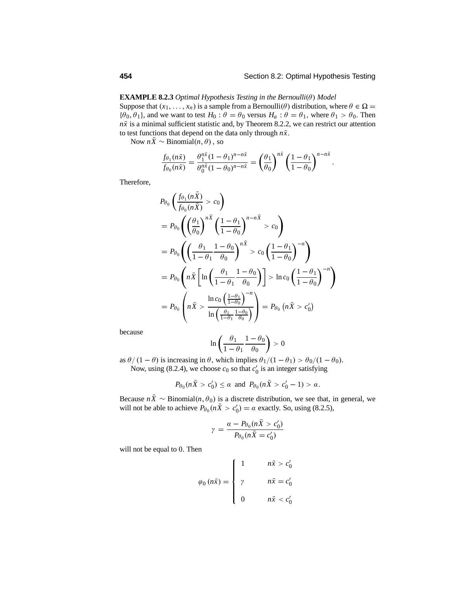#### **EXAMPLE 8.2.3** *Optimal Hypothesis Testing in the Bernoulli*(θ) *Model*

Suppose that  $(x_1, \ldots, x_n)$  is a sample from a Bernoulli $(\theta)$  distribution, where  $\theta \in \Omega$  ${\theta_0, \theta_1}$ , and we want to test  $H_0: \theta = \theta_0$  versus  $H_a: \theta = \theta_1$ , where  $\theta_1 > \theta_0$ . Then  $n\bar{x}$  is a minimal sufficient statistic and, by Theorem 8.2.2, we can restrict our attention to test functions that depend on the data only through  $n\bar{x}$ .

Now  $n\bar{X} \sim \text{Binomial}(n, \theta)$ , so

$$
\frac{f_{\theta_1}(n\bar{x})}{f_{\theta_0}(n\bar{x})} = \frac{\theta_1^{n\bar{x}}(1-\theta_1)^{n-n\bar{x}}}{\theta_0^{n\bar{x}}(1-\theta_0)^{n-n\bar{x}}} = \left(\frac{\theta_1}{\theta_0}\right)^{n\bar{x}} \left(\frac{1-\theta_1}{1-\theta_0}\right)^{n-n\bar{x}}.
$$

Therefore,

$$
P_{\theta_0} \left( \frac{f_{\theta_1}(n\bar{X})}{f_{\theta_0}(n\bar{X})} > c_0 \right)
$$
  
= 
$$
P_{\theta_0} \left( \left( \frac{\theta_1}{\theta_0} \right)^{n\bar{X}} \left( \frac{1-\theta_1}{1-\theta_0} \right)^{n-n\bar{X}} > c_0 \right)
$$
  
= 
$$
P_{\theta_0} \left( \left( \frac{\theta_1}{1-\theta_1} \frac{1-\theta_0}{\theta_0} \right)^{n\bar{X}} > c_0 \left( \frac{1-\theta_1}{1-\theta_0} \right)^{-n} \right)
$$
  
= 
$$
P_{\theta_0} \left( n\bar{X} \left[ \ln \left( \frac{\theta_1}{1-\theta_1} \frac{1-\theta_0}{\theta_0} \right) \right] > \ln c_0 \left( \frac{1-\theta_1}{1-\theta_0} \right)^{-n} \right)
$$
  
= 
$$
P_{\theta_0} \left( n\bar{X} > \frac{\ln c_0 \left( \frac{1-\theta_1}{1-\theta_0} \right)^{-n}}{\ln \left( \frac{\theta_1}{1-\theta_1} \frac{1-\theta_0}{\theta_0} \right)} \right) = P_{\theta_0} \left( n\bar{X} > c'_0 \right)
$$

because

$$
\ln\left(\frac{\theta_1}{1-\theta_1}\frac{1-\theta_0}{\theta_0}\right)>0
$$

as  $\theta/(1 - \theta)$  is increasing in  $\theta$ , which implies  $\theta_1/(1 - \theta_1) > \theta_0/(1 - \theta_0)$ . Now, using (8.2.4), we choose  $c_0$  so that  $c'_0$  is an integer satisfying

$$
P_{\theta_0}(n\bar{X} > c'_0) \le \alpha \ \text{and} \ P_{\theta_0}(n\bar{X} > c'_0 - 1) > \alpha.
$$

Because  $n\bar{X} \sim \text{Binomial}(n, \theta_0)$  is a discrete distribution, we see that, in general, we will not be able to achieve  $P_{\theta_0}(n\bar{X} > c'_0) = \alpha$  exactly. So, using (8.2.5),

$$
\gamma = \frac{\alpha - P_{\theta_0}(nX > c'_0)}{P_{\theta_0}(n\bar{X} = c'_0)}
$$

will not be equal to 0. Then

$$
\varphi_0(n\bar{x}) = \begin{cases}\n1 & n\bar{x} > c'_0 \\
\gamma & n\bar{x} = c'_0 \\
0 & n\bar{x} < c'_0\n\end{cases}
$$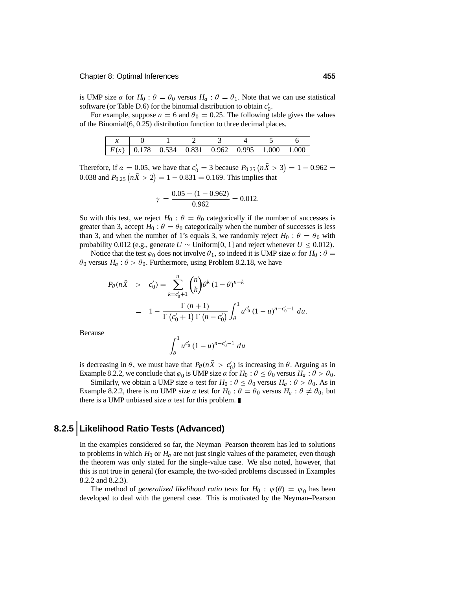#### Chapter 8: Optimal Inferences **455**

is UMP size  $\alpha$  for  $H_0$ :  $\theta = \theta_0$  versus  $H_a$ :  $\theta = \theta_1$ . Note that we can use statistical software (or Table D.6) for the binomial distribution to obtain  $c'_0$ .

For example, suppose  $n = 6$  and  $\theta_0 = 0.25$ . The following table gives the values of the Binomial(6, 0.25) distribution function to three decimal places.

|  |  | $F(x)$   0.178 0.534 0.831 0.962 0.995 1.000 1.000 |  |
|--|--|----------------------------------------------------|--|

Therefore, if  $\alpha = 0.05$ , we have that  $c'_0 = 3$  because  $P_{0.25}(\hat{n} \bar{X} > 3) = 1 - 0.962 =$ 0.038 and  $P_{0.25} (n \bar{X} > 2) = 1 - 0.831 = 0.169$ . This implies that

$$
\gamma = \frac{0.05 - (1 - 0.962)}{0.962} = 0.012.
$$

So with this test, we reject  $H_0$ :  $\theta = \theta_0$  categorically if the number of successes is greater than 3, accept  $H_0: \theta = \theta_0$  categorically when the number of successes is less than 3, and when the number of 1's equals 3, we randomly reject  $H_0$ :  $\theta = \theta_0$  with probability 0.012 (e.g., generate  $U \sim$  Uniform[0, 1] and reject whenever  $U \le 0.012$ ).

Notice that the test  $\varphi_0$  does not involve  $\theta_1$ , so indeed it is UMP size  $\alpha$  for  $H_0$ :  $\theta =$  $\theta_0$  versus  $H_a$ :  $\theta > \theta_0$ . Furthermore, using Problem 8.2.18, we have

$$
P_{\theta}(n\bar{X} > c'_0) = \sum_{k=c'_0+1}^{n} {n \choose k} \theta^k (1-\theta)^{n-k}
$$
  
=  $1 - \frac{\Gamma(n+1)}{\Gamma(c'_0+1)\Gamma(n-c'_0)} \int_{\theta}^1 u^{c'_0} (1-u)^{n-c'_0-1} du.$ 

Because

$$
\int_0^1 u^{c'_0} (1-u)^{n-c'_0-1} du
$$

is decreasing in  $\theta$ , we must have that  $P_{\theta}(nX > c'_0)$  is increasing in  $\theta$ . Arguing as in Example 8.2.2, we conclude that  $\varphi_0$  is UMP size  $\alpha$  for  $H_0 : \theta \le \theta_0$  versus  $H_a : \theta > \theta_0$ .

Similarly, we obtain a UMP size  $\alpha$  test for  $H_0: \theta \leq \theta_0$  versus  $H_a: \theta > \theta_0$ . As in Example 8.2.2, there is no UMP size  $\alpha$  test for  $H_0$ :  $\theta = \theta_0$  versus  $H_a$ :  $\theta \neq \theta_0$ , but there is a UMP unbiased size  $\alpha$  test for this problem.

### **8.2.5 Likelihood Ratio Tests (Advanced)**

In the examples considered so far, the Neyman–Pearson theorem has led to solutions to problems in which  $H_0$  or  $H_a$  are not just single values of the parameter, even though the theorem was only stated for the single-value case. We also noted, however, that this is not true in general (for example, the two-sided problems discussed in Examples 8.2.2 and 8.2.3).

The method of *generalized likelihood ratio tests* for  $H_0$ :  $\psi(\theta) = \psi_0$  has been developed to deal with the general case. This is motivated by the Neyman–Pearson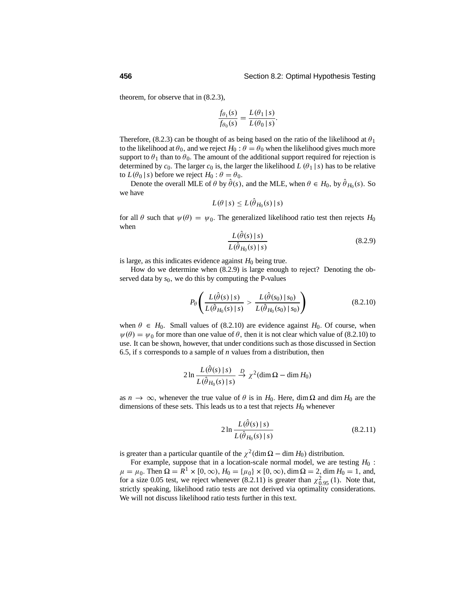theorem, for observe that in (8.2.3),

$$
\frac{f_{\theta_1}(s)}{f_{\theta_0}(s)} = \frac{L(\theta_1 \mid s)}{L(\theta_0 \mid s)}.
$$

Therefore, (8.2.3) can be thought of as being based on the ratio of the likelihood at  $\theta_1$ to the likelihood at  $\theta_0$ , and we reject  $H_0$ :  $\theta = \theta_0$  when the likelihood gives much more support to  $\theta_1$  than to  $\theta_0$ . The amount of the additional support required for rejection is determined by  $c_0$ . The larger  $c_0$  is, the larger the likelihood  $L(\theta_1 | s)$  has to be relative to  $L(\theta_0 | s)$  before we reject  $H_0 : \theta = \theta_0$ .

Denote the overall MLE of  $\theta$  by  $\hat{\theta}(s)$ , and the MLE, when  $\theta \in H_0$ , by  $\hat{\theta}_{H_0}(s)$ . So we have

$$
L(\theta \mid s) \leq L(\hat{\theta}_{H_0}(s) \mid s)
$$

for all  $\theta$  such that  $\psi(\theta) = \psi_0$ . The generalized likelihood ratio test then rejects  $H_0$ when

$$
\frac{L(\hat{\theta}(s) \mid s)}{L(\hat{\theta}_{H_0}(s) \mid s)}
$$
(8.2.9)

is large, as this indicates evidence against  $H_0$  being true.

How do we determine when (8.2.9) is large enough to reject? Denoting the observed data by *s*0, we do this by computing the P-values

$$
P_{\theta}\left(\frac{L(\hat{\theta}(s) \mid s)}{L(\hat{\theta}_{H_0}(s) \mid s)} > \frac{L(\hat{\theta}(s_0) \mid s_0)}{L(\hat{\theta}_{H_0}(s_0) \mid s_0)}\right)
$$
(8.2.10)

when  $\theta \in H_0$ . Small values of (8.2.10) are evidence against  $H_0$ . Of course, when  $\psi(\theta) = \psi_0$  for more than one value of  $\theta$ , then it is not clear which value of (8.2.10) to use. It can be shown, however, that under conditions such as those discussed in Section 6.5, if *s* corresponds to a sample of *n* values from a distribution, then

$$
2\ln\frac{L(\hat{\theta}(s)\,|\,s)}{L(\hat{\theta}_{H_0}(s)\,|\,s)}\stackrel{D}{\to}\chi^2(\dim\Omega-\dim H_0)
$$

as  $n \to \infty$ , whenever the true value of  $\theta$  is in  $H_0$ . Here, dim  $\Omega$  and dim  $H_0$  are the dimensions of these sets. This leads us to a test that rejects  $H_0$  whenever

$$
2\ln\frac{L(\hat{\theta}(s)\mid s)}{L(\hat{\theta}_{H_0}(s)\mid s)}
$$
(8.2.11)

is greater than a particular quantile of the  $\chi^2$ (dim  $\Omega$  – dim  $H_0$ ) distribution.

For example, suppose that in a location-scale normal model, we are testing  $H_0$ :  $\mu = \mu_0$ . Then  $\Omega = R^1 \times [0, \infty)$ ,  $H_0 = {\mu_0} \times [0, \infty)$ , dim  $\Omega = 2$ , dim  $H_0 = 1$ , and, for a size 0.05 test, we reject whenever (8.2.11) is greater than  $\chi_{0.95}^2(1)$ . Note that, strictly speaking, likelihood ratio tests are not derived via optimality considerations. We will not discuss likelihood ratio tests further in this text.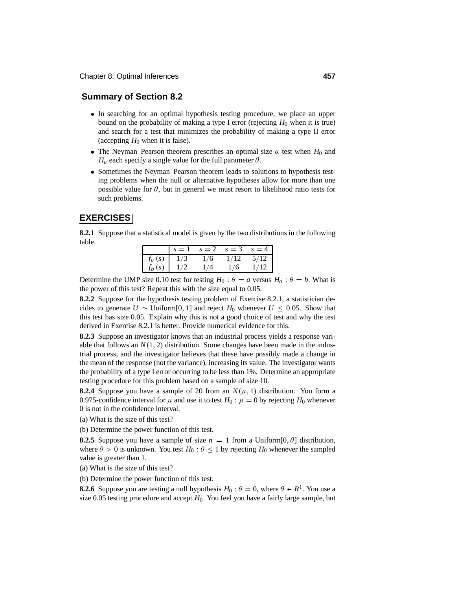#### **Summary of Section 8.2**

- In searching for an optimal hypothesis testing procedure, we place an upper bound on the probability of making a type I error (rejecting  $H_0$  when it is true) and search for a test that minimizes the probability of making a type II error (accepting  $H_0$  when it is false).
- The Neyman–Pearson theorem prescribes an optimal size  $\alpha$  test when  $H_0$  and  $H_a$  each specify a single value for the full parameter  $\theta$ .
- Sometimes the Neyman–Pearson theorem leads to solutions to hypothesis testing problems when the null or alternative hypotheses allow for more than one possible value for  $\theta$ , but in general we must resort to likelihood ratio tests for such problems.

#### **EXERCISES**

**8.2.1** Suppose that a statistical model is given by the two distributions in the following table.

|          | $s=1$ | $s=2$ | $s=3$ | $s = 4$           |
|----------|-------|-------|-------|-------------------|
| $f_a(s)$ | 1/3   | 1/6   | 1/12  | $\overline{5}/12$ |
| $f_b(s)$ | 172   | 1 / 4 | 1/6   | 1/12              |

Determine the UMP size 0.10 test for testing  $H_0: \theta = a$  versus  $H_a: \theta = b$ . What is the power of this test? Repeat this with the size equal to 0.05.

**8.2.2** Suppose for the hypothesis testing problem of Exercise 8.2.1, a statistician decides to generate *U* ~ Uniform[0, 1] and reject  $H_0$  whenever  $U \le 0.05$ . Show that this test has size 0.05. Explain why this is not a good choice of test and why the test derived in Exercise 8.2.1 is better. Provide numerical evidence for this.

**8.2.3** Suppose an investigator knows that an industrial process yields a response variable that follows an  $N(1, 2)$  distribution. Some changes have been made in the industrial process, and the investigator believes that these have possibly made a change in the mean of the response (not the variance), increasing its value. The investigator wants the probability of a type I error occurring to be less than 1%. Determine an appropriate testing procedure for this problem based on a sample of size 10.

**8.2.4** Suppose you have a sample of 20 from an  $N(\mu, 1)$  distribution. You form a 0.975-confidence interval for  $\mu$  and use it to test  $H_0$ :  $\mu = 0$  by rejecting  $H_0$  whenever 0 is not in the confidence interval.

(a) What is the size of this test?

(b) Determine the power function of this test.

**8.2.5** Suppose you have a sample of size  $n = 1$  from a Uniform[0,  $\theta$ ] distribution, where  $\theta > 0$  is unknown. You test  $H_0 : \theta \leq 1$  by rejecting  $H_0$  whenever the sampled value is greater than 1.

(a) What is the size of this test?

(b) Determine the power function of this test.

**8.2.6** Suppose you are testing a null hypothesis  $H_0: \theta = 0$ , where  $\theta \in R^1$ . You use a size  $0.05$  testing procedure and accept  $H_0$ . You feel you have a fairly large sample, but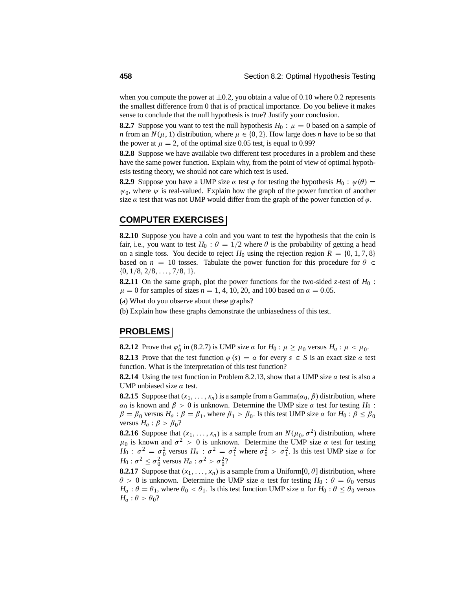when you compute the power at  $\pm 0.2$ , you obtain a value of 0.10 where 0.2 represents the smallest difference from 0 that is of practical importance. Do you believe it makes sense to conclude that the null hypothesis is true? Justify your conclusion.

**8.2.7** Suppose you want to test the null hypothesis  $H_0$ :  $\mu = 0$  based on a sample of *n* from an  $N(\mu, 1)$  distribution, where  $\mu \in \{0, 2\}$ . How large does *n* have to be so that the power at  $\mu = 2$ , of the optimal size 0.05 test, is equal to 0.99?

**8.2.8** Suppose we have available two different test procedures in a problem and these have the same power function. Explain why, from the point of view of optimal hypothesis testing theory, we should not care which test is used.

**8.2.9** Suppose you have a UMP size  $\alpha$  test  $\varphi$  for testing the hypothesis  $H_0: \psi(\theta) =$  $\psi_0$ , where  $\psi$  is real-valued. Explain how the graph of the power function of another size  $\alpha$  test that was not UMP would differ from the graph of the power function of  $\varphi$ .

#### **COMPUTER EXERCISES**

**8.2.10** Suppose you have a coin and you want to test the hypothesis that the coin is fair, i.e., you want to test  $H_0$ :  $\theta = 1/2$  where  $\theta$  is the probability of getting a head on a single toss. You decide to reject  $H_0$  using the rejection region  $R = \{0, 1, 7, 8\}$ based on  $n = 10$  tosses. Tabulate the power function for this procedure for  $\theta \in$  $\{0, 1/8, 2/8, \ldots, 7/8, 1\}.$ 

**8.2.11** On the same graph, plot the power functions for the two-sided *z*-test of  $H_0$ :  $\mu = 0$  for samples of sizes  $n = 1, 4, 10, 20$ , and 100 based on  $\alpha = 0.05$ .

(a) What do you observe about these graphs?

(b) Explain how these graphs demonstrate the unbiasedness of this test.

#### **PROBLEMS**

**8.2.12** Prove that  $\varphi_0^*$  in (8.2.7) is UMP size  $\alpha$  for  $H_0: \mu \ge \mu_0$  versus  $H_a: \mu < \mu_0$ . **8.2.13** Prove that the test function  $\varphi(s) = \alpha$  for every  $s \in S$  is an exact size  $\alpha$  test function. What is the interpretation of this test function?

**8.2.14** Using the test function in Problem 8.2.13, show that a UMP size  $\alpha$  test is also a UMP unbiased size  $\alpha$  test.

**8.2.15** Suppose that  $(x_1, \ldots, x_n)$  is a sample from a Gamma $(\alpha_0, \beta)$  distribution, where  $\alpha_0$  is known and  $\beta > 0$  is unknown. Determine the UMP size  $\alpha$  test for testing  $H_0$ :  $\beta = \beta_0$  versus  $H_a$ :  $\beta = \beta_1$ , where  $\beta_1 > \beta_0$ . Is this test UMP size  $\alpha$  for  $H_0$ :  $\beta \le \beta_0$ versus  $H_a$ :  $\beta > \beta_0$ ?

**8.2.16** Suppose that  $(x_1, \ldots, x_n)$  is a sample from an  $N(\mu_0, \sigma^2)$  distribution, where  $\mu_0$  is known and  $\sigma^2 > 0$  is unknown. Determine the UMP size  $\alpha$  test for testing  $H_0$ :  $\sigma^2 = \sigma_0^2$  versus  $H_a$ :  $\sigma^2 = \sigma_1^2$  where  $\sigma_0^2 > \sigma_1^2$ . Is this test UMP size  $\alpha$  for  $H_0: \sigma^2 \leq \sigma_0^2$  versus  $H_a: \sigma^2 > \sigma_0^2$ ?

**8.2.17** Suppose that  $(x_1, \ldots, x_n)$  is a sample from a Uniform[0,  $\theta$ ] distribution, where  $\theta > 0$  is unknown. Determine the UMP size  $\alpha$  test for testing  $H_0 : \theta = \theta_0$  versus  $H_a: \theta = \theta_1$ , where  $\theta_0 < \theta_1$ . Is this test function UMP size  $\alpha$  for  $H_0: \theta \leq \theta_0$  versus  $H_a$  :  $\theta > \theta_0$ ?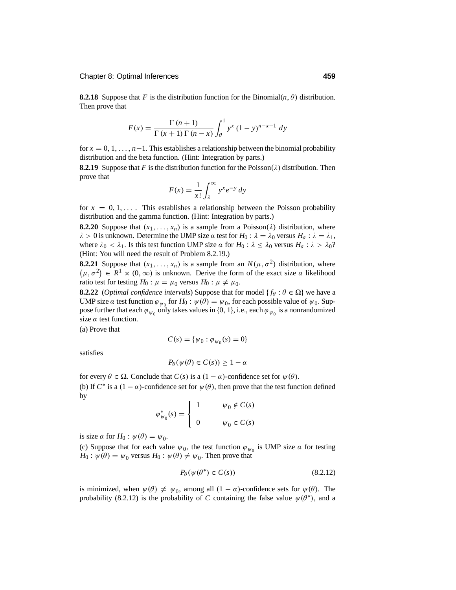#### Chapter 8: Optimal Inferences **459**

**8.2.18** Suppose that *F* is the distribution function for the Binomial $(n, \theta)$  distribution. Then prove that

$$
F(x) = \frac{\Gamma(n+1)}{\Gamma(x+1)\Gamma(n-x)} \int_{0}^{1} y^{x} (1-y)^{n-x-1} dy
$$

for  $x = 0, 1, \ldots, n-1$ . This establishes a relationship between the binomial probability distribution and the beta function. (Hint: Integration by parts.)

**8.2.19** Suppose that *F* is the distribution function for the Poisson( $\lambda$ ) distribution. Then prove that

$$
F(x) = \frac{1}{x!} \int_{\lambda}^{\infty} y^x e^{-y} dy
$$

for  $x = 0, 1, \ldots$ . This establishes a relationship between the Poisson probability distribution and the gamma function. (Hint: Integration by parts.)

**8.2.20** Suppose that  $(x_1, \ldots, x_n)$  is a sample from a Poisson( $\lambda$ ) distribution, where  $\lambda > 0$  is unknown. Determine the UMP size  $\alpha$  test for  $H_0 : \lambda = \lambda_0$  versus  $H_a : \lambda = \lambda_1$ , where  $\lambda_0 < \lambda_1$ . Is this test function UMP size  $\alpha$  for  $H_0$ :  $\lambda \leq \lambda_0$  versus  $H_a$ :  $\lambda > \lambda_0$ ? (Hint: You will need the result of Problem 8.2.19.)

**8.2.21** Suppose that  $(x_1, \ldots, x_n)$  is a sample from an  $N(\mu, \sigma^2)$  distribution, where  $(\mu, \sigma^2) \in R^1 \times (0, \infty)$  is unknown. Derive the form of the exact size  $\alpha$  likelihood ratio test for testing  $H_0$ :  $\mu = \mu_0$  versus  $H_0$ :  $\mu \neq \mu_0$ .

**8.2.22** (*Optimal confidence intervals*) Suppose that for model { $f_{\theta}$  :  $\theta \in \Omega$ } we have a UMP size  $\alpha$  test function  $\varphi_{\psi_0}$  for  $H_0 : \psi(\theta) = \psi_0$ , for each possible value of  $\psi_0$ . Suppose further that each  $\varphi_{\psi_0}$  only takes values in {0, 1}, i.e., each  $\varphi_{\psi_0}$  is a nonrandomized size  $\alpha$  test function.

(a) Prove that

$$
C(s) = \{ \psi_0 : \varphi_{\psi_0}(s) = 0 \}
$$

satisfies

$$
P_{\theta}(\psi(\theta) \in C(s)) \geq 1 - \alpha
$$

for every  $\theta \in \Omega$ . Conclude that  $C(s)$  is a  $(1 - \alpha)$ -confidence set for  $\psi(\theta)$ . (b) If  $C^*$  is a  $(1 - \alpha)$ -confidence set for  $\psi(\theta)$ , then prove that the test function defined by

$$
\varphi_{\psi_0}^*(s) = \begin{cases} 1 & \psi_0 \notin C(s) \\ 0 & \psi_0 \in C(s) \end{cases}
$$

is size  $\alpha$  for  $H_0$ :  $\psi(\theta) = \psi_0$ .

(c) Suppose that for each value  $\psi_0$ , the test function  $\varphi_{\psi_0}$  is UMP size  $\alpha$  for testing  $H_0$ :  $\psi(\theta) = \psi_0$  versus  $H_0$ :  $\psi(\theta) \neq \psi_0$ . Then prove that

$$
P_{\theta}(\psi(\theta^*) \in C(s)) \tag{8.2.12}
$$

is minimized, when  $\psi(\theta) \neq \psi_0$ , among all  $(1 - \alpha)$ -confidence sets for  $\psi(\theta)$ . The probability (8.2.12) is the probability of *C* containing the false value  $\psi(\theta^*)$ , and a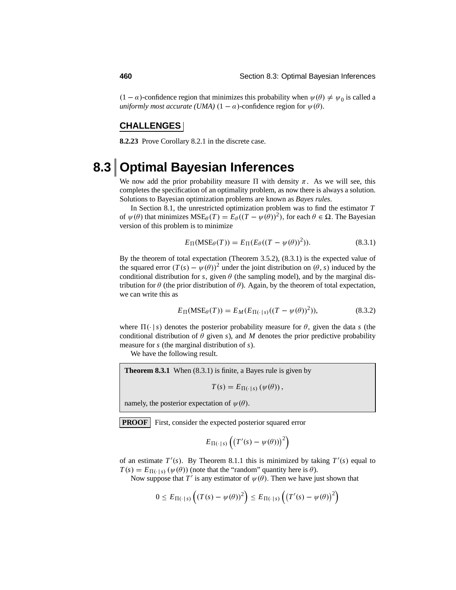$(1 - \alpha)$ -confidence region that minimizes this probability when  $\psi(\theta) \neq \psi_0$  is called a *uniformly most accurate (UMA)*  $(1 - \alpha)$ -confidence region for  $\psi(\theta)$ .

#### **CHALLENGES**

**8.2.23** Prove Corollary 8.2.1 in the discrete case.

## **8.3 Optimal Bayesian Inferences**

We now add the prior probability measure  $\Pi$  with density  $\pi$ . As we will see, this completes the specification of an optimality problem, as now there is always a solution. Solutions to Bayesian optimization problems are known as *Bayes rules*.

In Section 8.1, the unrestricted optimization problem was to find the estimator *T* of  $\psi(\theta)$  that minimizes  $MSE_{\theta}(T) = E_{\theta}((T - \psi(\theta))^2)$ , for each  $\theta \in \Omega$ . The Bayesian version of this problem is to minimize

$$
E_{\Pi}(\text{MSE}_{\theta}(T)) = E_{\Pi}(E_{\theta}((T - \psi(\theta))^2)).
$$
\n(8.3.1)

By the theorem of total expectation (Theorem 3.5.2), (8.3.1) is the expected value of the squared error  $(T(s) - \psi(\theta))^2$  under the joint distribution on  $(\theta, s)$  induced by the conditional distribution for *s*, given  $\theta$  (the sampling model), and by the marginal distribution for  $\theta$  (the prior distribution of  $\theta$ ). Again, by the theorem of total expectation, we can write this as

$$
E_{\Pi}(\text{MSE}_{\theta}(T)) = E_M(E_{\Pi(\cdot \,|\, s)}((T - \psi(\theta))^2)),\tag{8.3.2}
$$

where  $\Pi(\cdot | s)$  denotes the posterior probability measure for  $\theta$ , given the data *s* (the conditional distribution of  $\theta$  given *s*), and *M* denotes the prior predictive probability measure for *s* (the marginal distribution of *s*).

We have the following result.

**Theorem 8.3.1** When (8.3.1) is finite, a Bayes rule is given by  
\n
$$
T(s) = E_{\Pi(\cdot | s)} (\psi(\theta)),
$$
\nnamely, the posterior expectation of  $\psi(\theta)$ .

**PROOF** First, consider the expected posterior squared error

$$
E_{\Pi(\cdot\,|\,s)}\left(\big(T'(s)-\psi(\theta))\big)^2\right)
$$

of an estimate  $T'(s)$ . By Theorem 8.1.1 this is minimized by taking  $T'(s)$  equal to  $T(s) = E_{\Pi(\cdot | s)}(\psi(\theta))$  (note that the "random" quantity here is  $\theta$ ).

Now suppose that *T'* is any estimator of  $\psi(\theta)$ . Then we have just shown that

$$
0 \leq E_{\Pi(\cdot \mid s)}\left((T(s) - \psi(\theta))^2\right) \leq E_{\Pi(\cdot \mid s)}\left(\left(T'(s) - \psi(\theta)\right)^2\right)
$$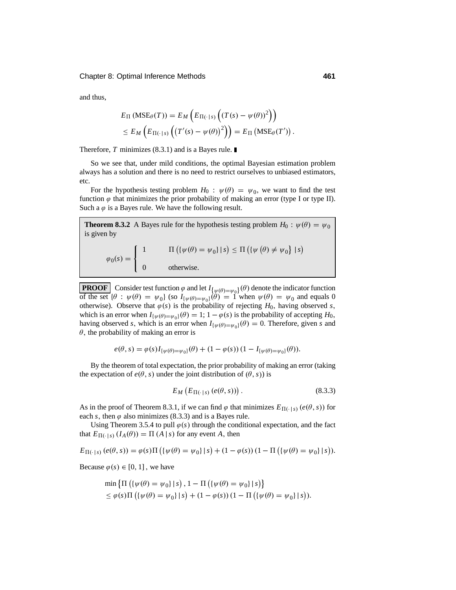and thus,

$$
E_{\Pi} (\text{MSE}_{\theta}(T)) = E_M \left( E_{\Pi(\cdot \, | \, s)} \left( (T(s) - \psi(\theta))^2 \right) \right)
$$
  
\$\leq E\_M \left( E\_{\Pi(\cdot \, | \, s)} \left( \left( T'(s) - \psi(\theta) \right)^2 \right) \right) = E\_{\Pi} (\text{MSE}\_{\theta}(T'))\$.\$

Therefore, *T* minimizes (8.3.1) and is a Bayes rule.

So we see that, under mild conditions, the optimal Bayesian estimation problem always has a solution and there is no need to restrict ourselves to unbiased estimators, etc.

For the hypothesis testing problem  $H_0$ :  $\psi(\theta) = \psi_0$ , we want to find the test function  $\varphi$  that minimizes the prior probability of making an error (type I or type II). Such a  $\varphi$  is a Bayes rule. We have the following result.

**Theorem 8.3.2** A Bayes rule for the hypothesis testing problem  $H_0$ :  $\psi(\theta) = \psi_0$ is given by  $\varphi_0(s) =$  $\sqrt{ }$  $\mathbf{I}$  $\mathbf{I}$ 1  $\Pi(\{\psi(\theta) = \psi_0\} | s) \le \Pi(\{\psi(\theta) \neq \psi_0\} | s)$ 0 otherwise.

**PROOF** Consider test function  $\varphi$  and let  $I_{\{\psi(\theta) = \psi_0\}}(\theta)$  denote the indicator function of the set  $\{\theta : \psi(\theta) = \psi_0\}$  (so  $I_{\{\psi(\theta) = 1\}}(\theta) = 1$  when  $\psi(\theta) = \psi_0$  and equals 0 of the set  $\{\theta : \psi(\theta) = \psi_0\}$  (so  $I_{\{\psi(\theta) = \psi_0\}}(\theta) = 1$  when  $\psi(\theta) = \psi_0$  and equals 0 otherwise). Observe that  $\varphi(s)$  is the probability of rejecting  $H_0$ , having observed *s*, which is an error when  $I_{\{\psi(\theta)=\psi_0\}}(\theta) = 1$ ;  $1 - \varphi(s)$  is the probability of accepting  $H_0$ , having observed *s*, which is an error when  $I_{\{w(\theta) = w_0\}}(\theta) = 0$ . Therefore, given *s* and  $\theta$ , the probability of making an error is

$$
e(\theta, s) = \varphi(s)I_{\{\psi(\theta) = \psi_0\}}(\theta) + (1 - \varphi(s)) (1 - I_{\{\psi(\theta) = \psi_0\}}(\theta)).
$$

By the theorem of total expectation, the prior probability of making an error (taking the expectation of  $e(\theta, s)$  under the joint distribution of  $(\theta, s)$  is

$$
E_M\left(E_{\Pi(\cdot\,|\,s)}\left(e(\theta,s)\right)\right). \tag{8.3.3}
$$

As in the proof of Theorem 8.3.1, if we can find  $\varphi$  that minimizes  $E_{\Pi(\cdot | s)} (\varrho(\theta, s))$  for each *s*, then  $\varphi$  also minimizes (8.3.3) and is a Bayes rule.

Using Theorem 3.5.4 to pull  $\varphi(s)$  through the conditional expectation, and the fact that  $E_{\Pi(\cdot | s)} (I_A(\theta)) = \Pi (A | s)$  for any event *A*, then

$$
E_{\Pi(\cdot | s)} (e(\theta, s)) = \varphi(s) \Pi \left( \{ \psi(\theta) = \psi_0 \} | s \right) + (1 - \varphi(s)) (1 - \Pi \left( \{ \psi(\theta) = \psi_0 \} | s \right)).
$$

Because  $\varphi(s) \in [0, 1]$ , we have

$$
\min \left\{ \Pi \left( \{ \psi(\theta) = \psi_0 \} \, | \, s \right), 1 - \Pi \left( \{ \psi(\theta) = \psi_0 \} \, | \, s \right) \right\} \leq \varphi(s) \Pi \left( \{ \psi(\theta) = \psi_0 \} \, | \, s \right) + (1 - \varphi(s)) \left( 1 - \Pi \left( \{ \psi(\theta) = \psi_0 \} \, | \, s \right) \right).
$$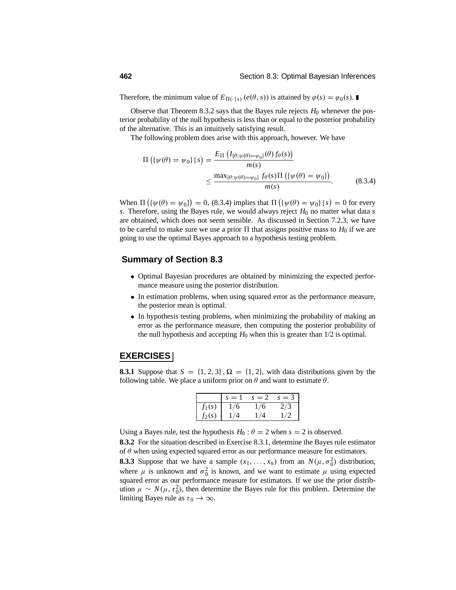Therefore, the minimum value of  $E_{\Pi(\cdot | s)} (\mathcal{e}(\theta, s))$  is attained by  $\varphi(s) = \varphi_0(s)$ .

Observe that Theorem 8.3.2 says that the Bayes rule rejects  $H_0$  whenever the posterior probability of the null hypothesis is less than or equal to the posterior probability of the alternative. This is an intuitively satisfying result.

The following problem does arise with this approach, however. We have

$$
\Pi\left(\{\psi(\theta) = \psi_0\} \mid s\right) = \frac{E_{\Pi}\left(I_{\{\theta : \psi(\theta) = \psi_0\}}(\theta) f_{\theta}(s)\right)}{m(s)}
$$

$$
\leq \frac{\max_{\{\theta : \psi(\theta) = \psi_0\}} f_{\theta}(s) \Pi\left(\{\psi(\theta) = \psi_0\}\right)}{m(s)}.
$$
(8.3.4)

When  $\Pi((\psi(\theta) = \psi_0)) = 0$ , (8.3.4) implies that  $\Pi((\psi(\theta) = \psi_0) | s) = 0$  for every *s*. Therefore, using the Bayes rule, we would always reject  $H_0$  no matter what data *s* are obtained, which does not seem sensible. As discussed in Section 7.2.3, we have to be careful to make sure we use a prior  $\Pi$  that assigns positive mass to  $H_0$  if we are going to use the optimal Bayes approach to a hypothesis testing problem.

#### **Summary of Section 8.3**

- Optimal Bayesian procedures are obtained by minimizing the expected performance measure using the posterior distribution.
- In estimation problems, when using squared error as the performance measure, the posterior mean is optimal.
- In hypothesis testing problems, when minimizing the probability of making an error as the performance measure, then computing the posterior probability of the null hypothesis and accepting  $H_0$  when this is greater than  $1/2$  is optimal.

#### **EXERCISES**

**8.3.1** Suppose that  $S = \{1, 2, 3\}$ ,  $\Omega = \{1, 2\}$ , with data distributions given by the following table. We place a uniform prior on  $\theta$  and want to estimate  $\theta$ .

|          | $=$ | $s=2$ | $=$ 3 |
|----------|-----|-------|-------|
| $f_1(s)$ | 1/6 | 1/6   |       |
| $f_2(s)$ |     |       |       |

Using a Bayes rule, test the hypothesis  $H_0: \theta = 2$  when  $s = 2$  is observed.

**8.3.2** For the situation described in Exercise 8.3.1, determine the Bayes rule estimator of  $\theta$  when using expected squared error as our performance measure for estimators.

**8.3.3** Suppose that we have a sample  $(x_1, \ldots, x_n)$  from an  $N(\mu, \sigma_0^2)$  distribution, where  $\mu$  is unknown and  $\sigma_0^2$  is known, and we want to estimate  $\mu$  using expected squared error as our performance measure for estimators. If we use the prior distribution  $\mu \sim N(\mu, \tau_0^2)$ , then determine the Bayes rule for this problem. Determine the limiting Bayes rule as  $\tau_0 \to \infty$ .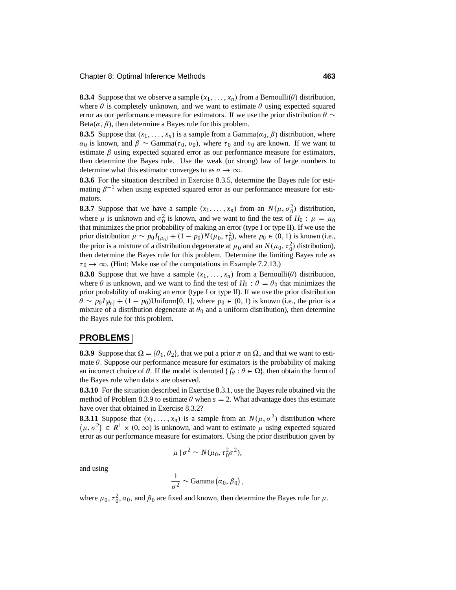**8.3.4** Suppose that we observe a sample  $(x_1, \ldots, x_n)$  from a Bernoulli $(\theta)$  distribution, where  $\theta$  is completely unknown, and we want to estimate  $\theta$  using expected squared error as our performance measure for estimators. If we use the prior distribution  $\theta \sim$ Beta $(\alpha, \beta)$ , then determine a Bayes rule for this problem.

**8.3.5** Suppose that  $(x_1, \ldots, x_n)$  is a sample from a Gamma $(\alpha_0, \beta)$  distribution, where  $\alpha_0$  is known, and  $\beta \sim \text{Gamma}(\tau_0, v_0)$ , where  $\tau_0$  and  $v_0$  are known. If we want to estimate  $\beta$  using expected squared error as our performance measure for estimators, then determine the Bayes rule. Use the weak (or strong) law of large numbers to determine what this estimator converges to as  $n \to \infty$ .

**8.3.6** For the situation described in Exercise 8.3.5, determine the Bayes rule for estimating  $\beta^{-1}$  when using expected squared error as our performance measure for estimators.

**8.3.7** Suppose that we have a sample  $(x_1, \ldots, x_n)$  from an  $N(\mu, \sigma_0^2)$  distribution, where  $\mu$  is unknown and  $\sigma_0^2$  is known, and we want to find the test of  $H_0$ :  $\mu = \mu_0$ that minimizes the prior probability of making an error (type I or type II). If we use the prior distribution  $\mu \sim p_0 I_{\{\mu_0\}} + (1 - p_0) N(\mu_0, \tau_0^2)$ , where  $p_0 \in (0, 1)$  is known (i.e., the prior is a mixture of a distribution degenerate at  $\mu_0$  and an  $N(\mu_0, \tau_0^2)$  distribution), then determine the Bayes rule for this problem. Determine the limiting Bayes rule as  $\tau_0 \rightarrow \infty$ . (Hint: Make use of the computations in Example 7.2.13.)

**8.3.8** Suppose that we have a sample  $(x_1, \ldots, x_n)$  from a Bernoulli $(\theta)$  distribution, where  $\theta$  is unknown, and we want to find the test of  $H_0$ :  $\theta = \theta_0$  that minimizes the prior probability of making an error (type I or type II). If we use the prior distribution  $\theta \sim p_0 I_{\{\theta_0\}} + (1 - p_0)$ Uniform[0, 1], where  $p_0 \in (0, 1)$  is known (i.e., the prior is a mixture of a distribution degenerate at  $\theta_0$  and a uniform distribution), then determine the Bayes rule for this problem.

#### **PROBLEMS**

**8.3.9** Suppose that  $\Omega = {\theta_1, \theta_2}$ , that we put a prior  $\pi$  on  $\Omega$ , and that we want to estimate  $\theta$ . Suppose our performance measure for estimators is the probability of making an incorrect choice of  $\theta$ . If the model is denoted { $f_{\theta}$ :  $\theta \in \Omega$ }, then obtain the form of the Bayes rule when data *s* are observed.

**8.3.10** For the situation described in Exercise 8.3.1, use the Bayes rule obtained via the method of Problem 8.3.9 to estimate  $\theta$  when  $s = 2$ . What advantage does this estimate have over that obtained in Exercise 8.3.2?

**8.3.11** Suppose that  $(x_1, \ldots, x_n)$  is a sample from an  $N(\mu, \sigma^2)$  distribution where  $(\mu, \sigma^2) \in R^1 \times (0, \infty)$  is unknown, and want to estimate  $\mu$  using expected squared error as our performance measure for estimators. Using the prior distribution given by

$$
\mu \mid \sigma^2 \sim N(\mu_0, \tau_0^2 \sigma^2),
$$

and using

$$
\frac{1}{\sigma^2} \sim \text{Gamma}(\alpha_0, \beta_0),
$$

where  $\mu_0$ ,  $\tau_0^2$ ,  $\alpha_0$ , and  $\beta_0$  are fixed and known, then determine the Bayes rule for  $\mu$ .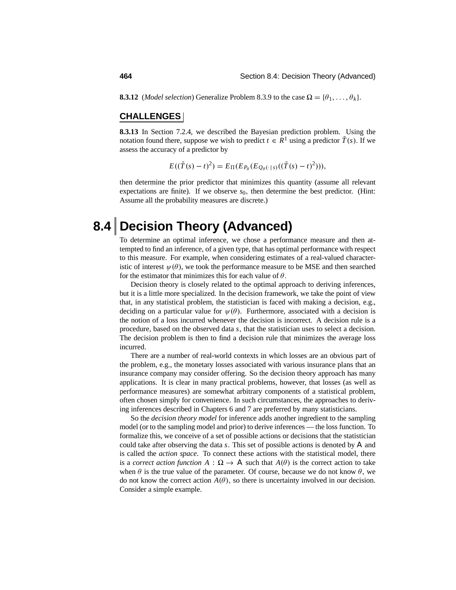**8.3.12** (*Model selection*) Generalize Problem 8.3.9 to the case  $\Omega = {\theta_1, \ldots, \theta_k}$ .

#### **CHALLENGES**

**8.3.13** In Section 7.2.4, we described the Bayesian prediction problem. Using the notation found there, suppose we wish to predict  $t \in R<sup>1</sup>$  using a predictor  $\tilde{T}(s)$ . If we assess the accuracy of a predictor by

$$
E((\tilde{T}(s)-t)^2) = E_{\Pi}(E_{P_{\theta}}(E_{Q_{\theta}(\cdot|s)}((\tilde{T}(s)-t)^2))),
$$

then determine the prior predictor that minimizes this quantity (assume all relevant expectations are finite). If we observe  $s_0$ , then determine the best predictor. (Hint: Assume all the probability measures are discrete.)

### **8.4 Decision Theory (Advanced)**

To determine an optimal inference, we chose a performance measure and then attempted to find an inference, of a given type, that has optimal performance with respect to this measure. For example, when considering estimates of a real-valued characteristic of interest  $\psi(\theta)$ , we took the performance measure to be MSE and then searched for the estimator that minimizes this for each value of  $\theta$ .

Decision theory is closely related to the optimal approach to deriving inferences, but it is a little more specialized. In the decision framework, we take the point of view that, in any statistical problem, the statistician is faced with making a decision, e.g., deciding on a particular value for  $\psi(\theta)$ . Furthermore, associated with a decision is the notion of a loss incurred whenever the decision is incorrect. A decision rule is a procedure, based on the observed data *s*, that the statistician uses to select a decision. The decision problem is then to find a decision rule that minimizes the average loss incurred.

There are a number of real-world contexts in which losses are an obvious part of the problem, e.g., the monetary losses associated with various insurance plans that an insurance company may consider offering. So the decision theory approach has many applications. It is clear in many practical problems, however, that losses (as well as performance measures) are somewhat arbitrary components of a statistical problem, often chosen simply for convenience. In such circumstances, the approaches to deriving inferences described in Chapters 6 and 7 are preferred by many statisticians.

So the *decision theory model* for inference adds another ingredient to the sampling model (or to the sampling model and prior) to derive inferences — the loss function. To formalize this, we conceive of a set of possible actions or decisions that the statistician could take after observing the data *s*. This set of possible actions is denoted by A and is called the *action space*. To connect these actions with the statistical model, there is a *correct action function*  $A : \Omega \to A$  such that  $A(\theta)$  is the correct action to take when  $\theta$  is the true value of the parameter. Of course, because we do not know  $\theta$ , we do not know the correct action  $A(\theta)$ , so there is uncertainty involved in our decision. Consider a simple example.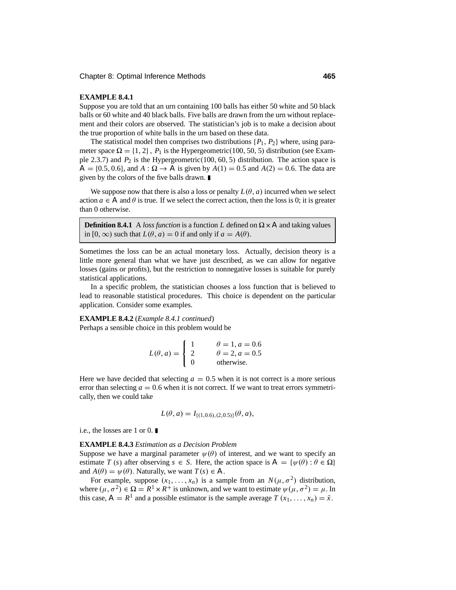#### **EXAMPLE 8.4.1**

Suppose you are told that an urn containing 100 balls has either 50 white and 50 black balls or 60 white and 40 black balls. Five balls are drawn from the urn without replacement and their colors are observed. The statistician's job is to make a decision about the true proportion of white balls in the urn based on these data.

The statistical model then comprises two distributions {*P*1, *<sup>P</sup>*2} where, using parameter space  $\Omega = \{1, 2\}$ ,  $P_1$  is the Hypergeometric(100, 50, 5) distribution (see Example 2.3.7) and  $P_2$  is the Hypergeometric(100, 60, 5) distribution. The action space is  $A = \{0.5, 0.6\}$ , and  $A : \Omega \rightarrow A$  is given by  $A(1) = 0.5$  and  $A(2) = 0.6$ . The data are given by the colors of the five balls drawn.

We suppose now that there is also a loss or penalty  $L(\theta, a)$  incurred when we select action  $a \in A$  and  $\theta$  is true. If we select the correct action, then the loss is 0; it is greater than 0 otherwise.

**Definition 8.4.1** A *loss function* is a function *L* defined on  $\Omega \times A$  and taking values in [0, ∞) such that  $L(\theta, a) = 0$  if and only if  $a = A(\theta)$ .

Sometimes the loss can be an actual monetary loss. Actually, decision theory is a little more general than what we have just described, as we can allow for negative losses (gains or profits), but the restriction to nonnegative losses is suitable for purely statistical applications.

In a specific problem, the statistician chooses a loss function that is believed to lead to reasonable statistical procedures. This choice is dependent on the particular application. Consider some examples.

**EXAMPLE 8.4.2** (*Example 8.4.1 continued*)

Perhaps a sensible choice in this problem would be

$$
L(\theta, a) = \begin{cases} 1 & \theta = 1, a = 0.6 \\ 2 & \theta = 2, a = 0.5 \\ 0 & \text{otherwise.} \end{cases}
$$

Here we have decided that selecting  $a = 0.5$  when it is not correct is a more serious error than selecting  $a = 0.6$  when it is not correct. If we want to treat errors symmetrically, then we could take

$$
L(\theta, a) = I_{\{(1,0.6), (2,0.5)\}}(\theta, a),
$$

i.e., the losses are 1 or 0.

#### **EXAMPLE 8.4.3** *Estimation as a Decision Problem*

Suppose we have a marginal parameter  $\psi(\theta)$  of interest, and we want to specify an estimate *T* (*s*) after observing  $s \in S$ . Here, the action space is  $A = \{\psi(\theta) : \theta \in \Omega\}$ and  $A(\theta) = \psi(\theta)$ . Naturally, we want  $T(s) \in A$ .

For example, suppose  $(x_1, \ldots, x_n)$  is a sample from an  $N(\mu, \sigma^2)$  distribution, where  $(\mu, \sigma^2) \in \Omega = R^1 \times R^+$  is unknown, and we want to estimate  $\psi(\mu, \sigma^2) = \mu$ . In this case,  $A = R^1$  and a possible estimator is the sample average  $T(x_1, \ldots, x_n) = \overline{x}$ .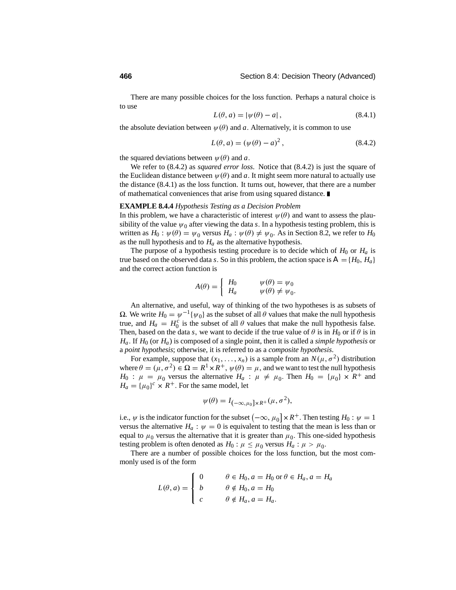There are many possible choices for the loss function. Perhaps a natural choice is to use

$$
L(\theta, a) = |\psi(\theta) - a|,
$$
\n(8.4.1)

the absolute deviation between  $\psi(\theta)$  and *a*. Alternatively, it is common to use

$$
L(\theta, a) = (\psi(\theta) - a)^2, \tag{8.4.2}
$$

the squared deviations between  $\psi(\theta)$  and *a*.

We refer to (8.4.2) as *squared error loss*. Notice that (8.4.2) is just the square of the Euclidean distance between  $\psi(\theta)$  and a. It might seem more natural to actually use the distance (8.4.1) as the loss function. It turns out, however, that there are a number of mathematical conveniences that arise from using squared distance.

#### **EXAMPLE 8.4.4** *Hypothesis Testing as a Decision Problem*

In this problem, we have a characteristic of interest  $\psi(\theta)$  and want to assess the plausibility of the value  $\psi_0$  after viewing the data *s*. In a hypothesis testing problem, this is written as  $H_0: \psi(\theta) = \psi_0$  versus  $H_a: \psi(\theta) \neq \psi_0$ . As in Section 8.2, we refer to  $H_0$ as the null hypothesis and to  $H_a$  as the alternative hypothesis.

The purpose of a hypothesis testing procedure is to decide which of  $H_0$  or  $H_a$  is true based on the observed data *s*. So in this problem, the action space is  $A = \{H_0, H_a\}$ and the correct action function is

$$
A(\theta) = \begin{cases} H_0 & \psi(\theta) = \psi_0 \\ H_a & \psi(\theta) \neq \psi_0. \end{cases}
$$

An alternative, and useful, way of thinking of the two hypotheses is as subsets of  $\Omega$ . We write  $H_0 = \psi^{-1}\{\psi_0\}$  as the subset of all  $\theta$  values that make the null hypothesis true, and  $H_a = H_0^c$  is the subset of all  $\theta$  values that make the null hypothesis false. Then, based on the data *s*, we want to decide if the true value of  $\theta$  is in  $H_0$  or if  $\theta$  is in *Ha*. If *H*<sup>0</sup> (or *Ha*) is composed of a single point, then it is called a *simple hypothesis* or a *point hypothesis*; otherwise, it is referred to as a *composite hypothesis*.

For example, suppose that  $(x_1, \ldots, x_n)$  is a sample from an  $N(\mu, \sigma^2)$  distribution where  $\theta = (\mu, \sigma^2) \in \Omega = R^1 \times R^+$ ,  $\psi(\theta) = \mu$ , and we want to test the null hypothesis  $H_0$ :  $\mu = \mu_0$  versus the alternative  $H_a$ :  $\mu \neq \mu_0$ . Then  $H_0 = {\mu_0} \times R^+$  and  $H_a = {\mu_0}^c \times R^+$ . For the same model, let

$$
\psi(\theta) = I_{(-\infty,\mu_0] \times R^+}(\mu, \sigma^2),
$$

i.e.,  $\psi$  is the indicator function for the subset  $(-\infty, \mu_0] \times R^+$ . Then testing  $H_0 : \psi = 1$ versus the alternative  $H_a$ :  $\psi = 0$  is equivalent to testing that the mean is less than or equal to  $\mu_0$  versus the alternative that it is greater than  $\mu_0$ . This one-sided hypothesis testing problem is often denoted as  $H_0: \mu \leq \mu_0$  versus  $H_a: \mu > \mu_0$ .

There are a number of possible choices for the loss function, but the most commonly used is of the form

$$
L(\theta, a) = \begin{cases} 0 & \theta \in H_0, a = H_0 \text{ or } \theta \in H_a, a = H_a \\ b & \theta \notin H_0, a = H_0 \\ c & \theta \notin H_a, a = H_a. \end{cases}
$$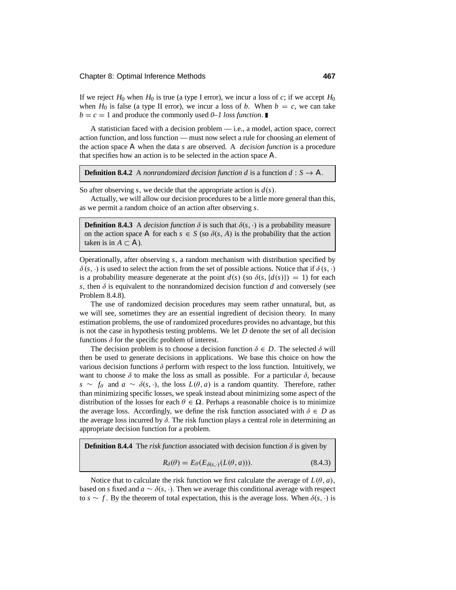If we reject  $H_0$  when  $H_0$  is true (a type I error), we incur a loss of *c*; if we accept  $H_0$ when  $H_0$  is false (a type II error), we incur a loss of *b*. When  $b = c$ , we can take  $b = c = 1$  and produce the commonly used *0–1 loss function*.

A statistician faced with a decision problem — i.e., a model, action space, correct action function, and loss function — must now select a rule for choosing an element of the action space A when the data *s* are observed. A *decision function* is a procedure that specifies how an action is to be selected in the action space A.

**Definition 8.4.2** A *nonrandomized decision function d* is a function  $d : S \rightarrow A$ .

So after observing *s*, we decide that the appropriate action is *d*(*s*).

Actually, we will allow our decision procedures to be a little more general than this, as we permit a random choice of an action after observing *s*.

**Definition 8.4.3** A *decision function*  $\delta$  is such that  $\delta(s, \cdot)$  is a probability measure on the action space A for each  $s \in S$  (so  $\delta(s, A)$  is the probability that the action taken is in  $A \subset A$ ).

Operationally, after observing *s*, a random mechanism with distribution specified by  $\delta(s, \cdot)$  is used to select the action from the set of possible actions. Notice that if  $\delta(s, \cdot)$ is a probability measure degenerate at the point  $d(s)$  (so  $\delta(s, \{d(s)\}) = 1$ ) for each *s*, then  $\delta$  is equivalent to the nonrandomized decision function *d* and conversely (see Problem 8.4.8).

The use of randomized decision procedures may seem rather unnatural, but, as we will see, sometimes they are an essential ingredient of decision theory. In many estimation problems, the use of randomized procedures provides no advantage, but this is not the case in hypothesis testing problems. We let *D* denote the set of all decision functions  $\delta$  for the specific problem of interest.

The decision problem is to choose a decision function  $\delta \in D$ . The selected  $\delta$  will then be used to generate decisions in applications. We base this choice on how the various decision functions  $\delta$  perform with respect to the loss function. Intuitively, we want to choose  $\delta$  to make the loss as small as possible. For a particular  $\delta$ , because *s* ∼ *f*<sup>θ</sup> and *a* ∼  $\delta$ (*s*, ·), the loss *L*( $\theta$ , *a*) is a random quantity. Therefore, rather than minimizing specific losses, we speak instead about minimizing some aspect of the distribution of the losses for each  $\theta \in \Omega$ . Perhaps a reasonable choice is to minimize the average loss. Accordingly, we define the risk function associated with  $\delta \in D$  as the average loss incurred by  $\delta$ . The risk function plays a central role in determining an appropriate decision function for a problem.

| <b>Definition 8.4.4</b> The risk function associated with decision function $\delta$ is given by |         |
|--------------------------------------------------------------------------------------------------|---------|
| $R_{\delta}(\theta) = E_{\theta}(E_{\delta(s,\cdot)}(L(\theta,a))).$                             | (8.4.3) |

Notice that to calculate the risk function we first calculate the average of  $L(\theta, a)$ , based on *s* fixed and  $a \sim \delta(s, \cdot)$ . Then we average this conditional average with respect to  $s \sim f$ . By the theorem of total expectation, this is the average loss. When  $\delta(s, \cdot)$  is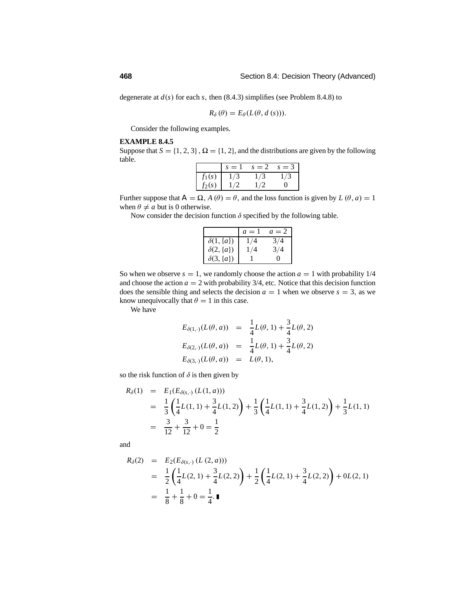degenerate at  $d(s)$  for each  $s$ , then (8.4.3) simplifies (see Problem 8.4.8) to

$$
R_{\delta}(\theta) = E_{\theta}(L(\theta, d(s))).
$$

Consider the following examples.

#### **EXAMPLE 8.4.5**

Suppose that  $S = \{1, 2, 3\}$ ,  $\Omega = \{1, 2\}$ , and the distributions are given by the following table.

|          | $=$ | $s=2$ | $s = 3$ |
|----------|-----|-------|---------|
| $f_1(s)$ | 1/3 | 1/3   |         |
| $f_2(s)$ |     | 1 / 2 |         |

Further suppose that  $A = \Omega$ ,  $A(\theta) = \theta$ , and the loss function is given by  $L(\theta, a) = 1$ when  $\theta \neq a$  but is 0 otherwise.

Now consider the decision function  $\delta$  specified by the following table.

|                   | $=$ 1 | $a=2$ |
|-------------------|-------|-------|
| $\delta(1,\{a\})$ | 174   | 3/4   |
| $\delta(2,\{a\})$ | 74    | 3/4   |
| $\delta(3,\{a\})$ |       |       |

So when we observe  $s = 1$ , we randomly choose the action  $a = 1$  with probability 1/4 and choose the action  $a = 2$  with probability 3/4, etc. Notice that this decision function does the sensible thing and selects the decision  $a = 1$  when we observe  $s = 3$ , as we know unequivocally that  $\theta = 1$  in this case.

We have

$$
E_{\delta(1,\cdot)}(L(\theta, a)) = \frac{1}{4}L(\theta, 1) + \frac{3}{4}L(\theta, 2)
$$
  
\n
$$
E_{\delta(2,\cdot)}(L(\theta, a)) = \frac{1}{4}L(\theta, 1) + \frac{3}{4}L(\theta, 2)
$$
  
\n
$$
E_{\delta(3,\cdot)}(L(\theta, a)) = L(\theta, 1),
$$

so the risk function of  $\delta$  is then given by

$$
R_{\delta}(1) = E_1(E_{\delta(s,\cdot)}(L(1,a)))
$$
  
=  $\frac{1}{3} \left( \frac{1}{4} L(1, 1) + \frac{3}{4} L(1, 2) \right) + \frac{1}{3} \left( \frac{1}{4} L(1, 1) + \frac{3}{4} L(1, 2) \right) + \frac{1}{3} L(1, 1)$   
=  $\frac{3}{12} + \frac{3}{12} + 0 = \frac{1}{2}$ 

and

$$
R_{\delta}(2) = E_2(E_{\delta(s,\cdot)}(L(2,a)))
$$
  
=  $\frac{1}{2} \left( \frac{1}{4} L(2, 1) + \frac{3}{4} L(2, 2) \right) + \frac{1}{2} \left( \frac{1}{4} L(2, 1) + \frac{3}{4} L(2, 2) \right) + 0L(2, 1)$   
=  $\frac{1}{8} + \frac{1}{8} + 0 = \frac{1}{4}.$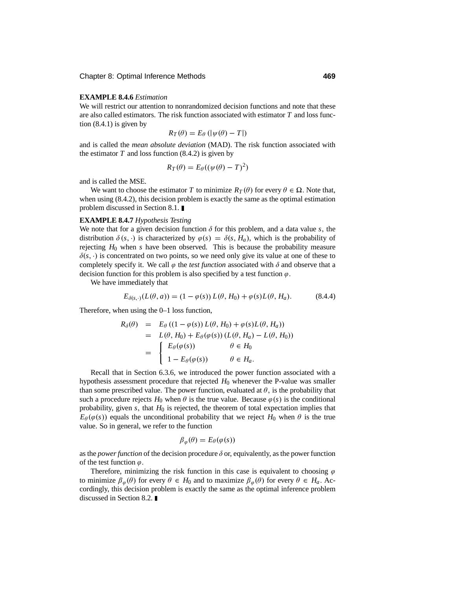Chapter 8: Optimal Inference Methods **469**

#### **EXAMPLE 8.4.6** *Estimation*

We will restrict our attention to nonrandomized decision functions and note that these are also called estimators. The risk function associated with estimator *T* and loss function  $(8.4.1)$  is given by

$$
R_T(\theta) = E_{\theta} (|\psi(\theta) - T|)
$$

and is called the *mean absolute deviation* (MAD). The risk function associated with the estimator  $T$  and loss function  $(8.4.2)$  is given by

$$
R_T(\theta) = E_{\theta}((\psi(\theta) - T)^2)
$$

and is called the MSE.

We want to choose the estimator *T* to minimize  $R_T(\theta)$  for every  $\theta \in \Omega$ . Note that, when using (8.4.2), this decision problem is exactly the same as the optimal estimation problem discussed in Section 8.1.

#### **EXAMPLE 8.4.7** *Hypothesis Testing*

We note that for a given decision function  $\delta$  for this problem, and a data value *s*, the distribution  $\delta(s, \cdot)$  is characterized by  $\varphi(s) = \delta(s, H_a)$ , which is the probability of rejecting  $H_0$  when *s* have been observed. This is because the probability measure  $\delta(s, \cdot)$  is concentrated on two points, so we need only give its value at one of these to completely specify it. We call  $\varphi$  the *test function* associated with  $\delta$  and observe that a decision function for this problem is also specified by a test function  $\varphi$ .

We have immediately that

$$
E_{\delta(s,\cdot)}(L(\theta, a)) = (1 - \varphi(s)) L(\theta, H_0) + \varphi(s)L(\theta, H_a).
$$
 (8.4.4)

Therefore, when using the 0–1 loss function,

$$
R_{\delta}(\theta) = E_{\theta} ((1 - \varphi(s)) L(\theta, H_0) + \varphi(s) L(\theta, H_a))
$$
  
=  $L(\theta, H_0) + E_{\theta}(\varphi(s)) (L(\theta, H_a) - L(\theta, H_0))$   
=  $\begin{cases} E_{\theta}(\varphi(s)) & \theta \in H_0 \\ 1 - E_{\theta}(\varphi(s)) & \theta \in H_a. \end{cases}$ 

Recall that in Section 6.3.6, we introduced the power function associated with a hypothesis assessment procedure that rejected *H*<sup>0</sup> whenever the P-value was smaller than some prescribed value. The power function, evaluated at  $\theta$ , is the probability that such a procedure rejects  $H_0$  when  $\theta$  is the true value. Because  $\varphi(s)$  is the conditional probability, given  $s$ , that  $H_0$  is rejected, the theorem of total expectation implies that  $E_{\theta}(\varphi(s))$  equals the unconditional probability that we reject *H*<sub>0</sub> when  $\theta$  is the true value. So in general, we refer to the function

$$
\beta_{\varphi}(\theta) = E_{\theta}(\varphi(s))
$$

as the *power function* of the decision procedure  $\delta$  or, equivalently, as the power function of the test function  $\varphi$ .

Therefore, minimizing the risk function in this case is equivalent to choosing  $\varphi$ to minimize  $\beta_{\varphi}(\theta)$  for every  $\theta \in H_0$  and to maximize  $\beta_{\varphi}(\theta)$  for every  $\theta \in H_a$ . Accordingly, this decision problem is exactly the same as the optimal inference problem discussed in Section 8.2.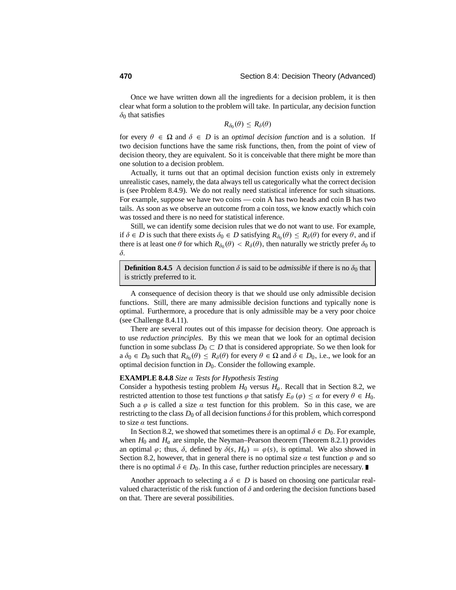Once we have written down all the ingredients for a decision problem, it is then clear what form a solution to the problem will take. In particular, any decision function  $\delta_0$  that satisfies

$$
R_{\delta_0}(\theta) \leq R_{\delta}(\theta)
$$

for every  $\theta \in \Omega$  and  $\delta \in D$  is an *optimal decision function* and is a solution. If two decision functions have the same risk functions, then, from the point of view of decision theory, they are equivalent. So it is conceivable that there might be more than one solution to a decision problem.

Actually, it turns out that an optimal decision function exists only in extremely unrealistic cases, namely, the data always tell us categorically what the correct decision is (see Problem 8.4.9). We do not really need statistical inference for such situations. For example, suppose we have two coins — coin A has two heads and coin B has two tails. As soon as we observe an outcome from a coin toss, we know exactly which coin was tossed and there is no need for statistical inference.

Still, we can identify some decision rules that we do not want to use. For example, if  $\delta \in D$  is such that there exists  $\delta_0 \in D$  satisfying  $R_{\delta_0}(\theta) \leq R_{\delta}(\theta)$  for every  $\theta$ , and if there is at least one  $\theta$  for which  $R_{\delta_0}(\theta) < R_{\delta}(\theta)$ , then naturally we strictly prefer  $\delta_0$  to δ.

**Definition 8.4.5** A decision function  $\delta$  is said to be *admissible* if there is no  $\delta_0$  that is strictly preferred to it.

A consequence of decision theory is that we should use only admissible decision functions. Still, there are many admissible decision functions and typically none is optimal. Furthermore, a procedure that is only admissible may be a very poor choice (see Challenge 8.4.11).

There are several routes out of this impasse for decision theory. One approach is to use *reduction principles*. By this we mean that we look for an optimal decision function in some subclass  $D_0 \subset D$  that is considered appropriate. So we then look for  $a \delta_0 \in D_0$  such that  $R_{\delta_0}(\theta) \leq R_{\delta}(\theta)$  for every  $\theta \in \Omega$  and  $\delta \in D_0$ , i.e., we look for an optimal decision function in *D*0. Consider the following example.

#### **EXAMPLE 8.4.8** *Size* α *Tests for Hypothesis Testing*

Consider a hypothesis testing problem  $H_0$  versus  $H_a$ . Recall that in Section 8.2, we restricted attention to those test functions  $\varphi$  that satisfy  $E_{\theta}(\varphi) \leq \alpha$  for every  $\theta \in H_0$ . Such a  $\varphi$  is called a size  $\alpha$  test function for this problem. So in this case, we are restricting to the class  $D_0$  of all decision functions  $\delta$  for this problem, which correspond to size  $\alpha$  test functions.

In Section 8.2, we showed that sometimes there is an optimal  $\delta \in D_0$ . For example, when  $H_0$  and  $H_a$  are simple, the Neyman–Pearson theorem (Theorem 8.2.1) provides an optimal  $\varphi$ ; thus,  $\delta$ , defined by  $\delta(s, H_a) = \varphi(s)$ , is optimal. We also showed in Section 8.2, however, that in general there is no optimal size  $\alpha$  test function  $\varphi$  and so there is no optimal  $\delta \in D_0$ . In this case, further reduction principles are necessary.

Another approach to selecting a  $\delta \in D$  is based on choosing one particular realvalued characteristic of the risk function of  $\delta$  and ordering the decision functions based on that. There are several possibilities.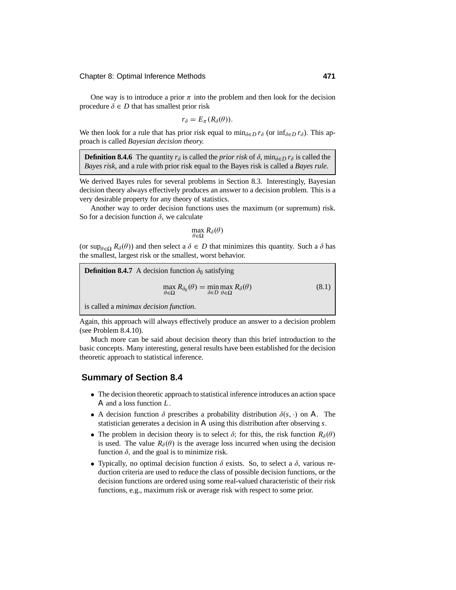Chapter 8: Optimal Inference Methods **471**

One way is to introduce a prior  $\pi$  into the problem and then look for the decision procedure  $\delta \in D$  that has smallest prior risk

$$
r_{\delta}=E_{\pi}(R_{\delta}(\theta)).
$$

We then look for a rule that has prior risk equal to  $\min_{\delta \in D} r_{\delta}$  (or  $\inf_{\delta \in D} r_{\delta}$ ). This approach is called *Bayesian decision theory.*

**Definition 8.4.6** The quantity  $r_{\delta}$  is called the *prior risk* of  $\delta$ , min<sub> $\delta \in D$ </sub>  $r_{\delta}$  is called the *Bayes risk*, and a rule with prior risk equal to the Bayes risk is called a *Bayes rule*.

We derived Bayes rules for several problems in Section 8.3. Interestingly, Bayesian decision theory always effectively produces an answer to a decision problem. This is a very desirable property for any theory of statistics.

Another way to order decision functions uses the maximum (or supremum) risk. So for a decision function  $\delta$ , we calculate

$$
\max_{\theta \in \Omega} R_{\delta}(\theta)
$$

(or sup $_{\theta \in \Omega}$  *R*<sub> $\delta$ </sub>( $\theta$ )) and then select a  $\delta \in D$  that minimizes this quantity. Such a  $\delta$  has the smallest, largest risk or the smallest, worst behavior.

**Definition 8.4.7** A decision function  $\delta_0$  satisfying max  $\max_{\theta \in \Omega} R_{\delta_0}(\theta) = \min_{\delta \in D}$ max  $\theta \in \Omega$  $R_{\delta}(\theta)$  (8.1)

is called a *minimax decision function*.

Again, this approach will always effectively produce an answer to a decision problem (see Problem 8.4.10).

Much more can be said about decision theory than this brief introduction to the basic concepts. Many interesting, general results have been established for the decision theoretic approach to statistical inference.

#### **Summary of Section 8.4**

- The decision theoretic approach to statistical inference introduces an action space A and a loss function *L*.
- A decision function  $\delta$  prescribes a probability distribution  $\delta(s, \cdot)$  on A. The statistician generates a decision in A using this distribution after observing *s*.
- The problem in decision theory is to select  $\delta$ ; for this, the risk function  $R_{\delta}(\theta)$ is used. The value  $R_{\delta}(\theta)$  is the average loss incurred when using the decision function  $\delta$ , and the goal is to minimize risk.
- Typically, no optimal decision function  $\delta$  exists. So, to select a  $\delta$ , various reduction criteria are used to reduce the class of possible decision functions, or the decision functions are ordered using some real-valued characteristic of their risk functions, e.g., maximum risk or average risk with respect to some prior.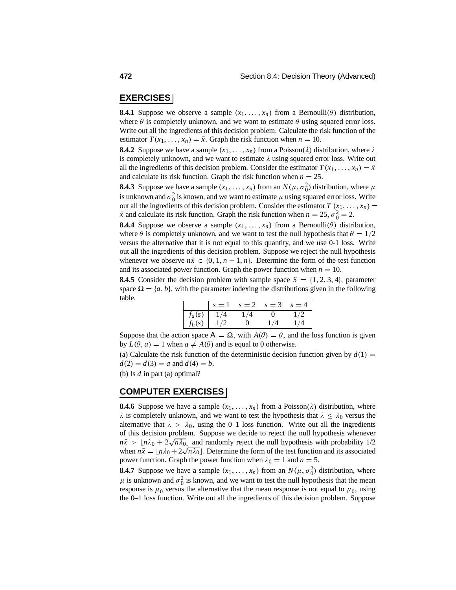#### **EXERCISES**

**8.4.1** Suppose we observe a sample  $(x_1, \ldots, x_n)$  from a Bernoulli $(\theta)$  distribution, where  $\theta$  is completely unknown, and we want to estimate  $\theta$  using squared error loss. Write out all the ingredients of this decision problem. Calculate the risk function of the estimator  $T(x_1, \ldots, x_n) = \overline{x}$ . Graph the risk function when  $n = 10$ .

**8.4.2** Suppose we have a sample  $(x_1, \ldots, x_n)$  from a Poisson( $\lambda$ ) distribution, where  $\lambda$ is completely unknown, and we want to estimate  $\lambda$  using squared error loss. Write out all the ingredients of this decision problem. Consider the estimator  $T(x_1, \ldots, x_n) = \bar{x}$ and calculate its risk function. Graph the risk function when  $n = 25$ .

**8.4.3** Suppose we have a sample  $(x_1, \ldots, x_n)$  from an  $N(\mu, \sigma_0^2)$  distribution, where  $\mu$ is unknown and  $\sigma_0^2$  is known, and we want to estimate  $\mu$  using squared error loss. Write out all the ingredients of this decision problem. Consider the estimator  $T(x_1, \ldots, x_n) =$  $\bar{x}$  and calculate its risk function. Graph the risk function when  $n = 25$ ,  $\sigma_0^2 = 2$ .

**8.4.4** Suppose we observe a sample  $(x_1, \ldots, x_n)$  from a Bernoulli $(\theta)$  distribution, where  $\theta$  is completely unknown, and we want to test the null hypothesis that  $\theta = 1/2$ versus the alternative that it is not equal to this quantity, and we use 0-1 loss. Write out all the ingredients of this decision problem. Suppose we reject the null hypothesis whenever we observe  $n\bar{x} \in \{0, 1, n-1, n\}$ . Determine the form of the test function and its associated power function. Graph the power function when  $n = 10$ .

**8.4.5** Consider the decision problem with sample space  $S = \{1, 2, 3, 4\}$ , parameter space  $\Omega = \{a, b\}$ , with the parameter indexing the distributions given in the following table.

|          | $s=1$ | $s=2$ | $s=3$ | $s = 4$ |
|----------|-------|-------|-------|---------|
| $f_a(s)$ |       | . 74  |       |         |
| $f_b(s)$ |       |       | 1/4   | 74      |

Suppose that the action space  $A = \Omega$ , with  $A(\theta) = \theta$ , and the loss function is given by  $L(\theta, a) = 1$  when  $a \neq A(\theta)$  and is equal to 0 otherwise.

(a) Calculate the risk function of the deterministic decision function given by  $d(1)$  =  $d(2) = d(3) = a$  and  $d(4) = b$ .

(b) Is *d* in part (a) optimal?

#### **COMPUTER EXERCISES**

**8.4.6** Suppose we have a sample  $(x_1, \ldots, x_n)$  from a Poisson( $\lambda$ ) distribution, where  $\lambda$  is completely unknown, and we want to test the hypothesis that  $\lambda \leq \lambda_0$  versus the alternative that  $\lambda > \lambda_0$ , using the 0–1 loss function. Write out all the ingredients of this decision problem. Suppose we decide to reject the null hypothesis whenever  $n\bar{x} > \lfloor n\lambda_0 + 2\sqrt{n\lambda_0} \rfloor$  and randomly reject the null hypothesis with probability 1/2 when  $n\bar{x} = [n\lambda_0 + 2\sqrt{n\lambda_0}]$ . Determine the form of the test function and its associated power function. Graph the power function when  $\lambda_0 = 1$  and  $n = 5$ .

**8.4.7** Suppose we have a sample  $(x_1, \ldots, x_n)$  from an  $N(\mu, \sigma_0^2)$  distribution, where  $\mu$  is unknown and  $\sigma_0^2$  is known, and we want to test the null hypothesis that the mean response is  $\mu_0$  versus the alternative that the mean response is not equal to  $\mu_0$ , using the 0–1 loss function. Write out all the ingredients of this decision problem. Suppose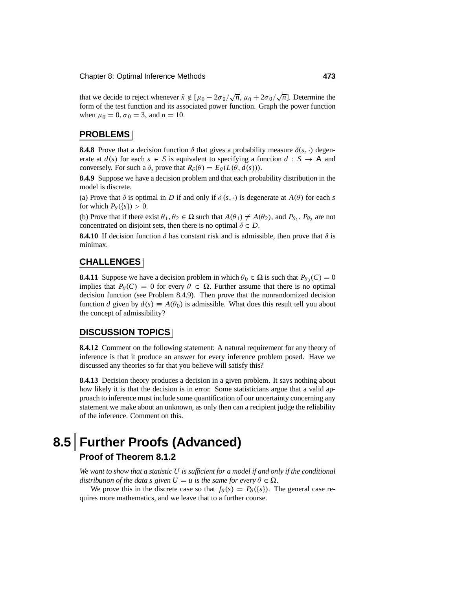that we decide to reject whenever  $\bar{x} \notin [\mu_0 - 2\sigma_0/\sqrt{n}, \mu_0 + 2\sigma_0/\sqrt{n}]$ . Determine the form of the test function and its associated power function. Graph the power function when  $\mu_0 = 0$ ,  $\sigma_0 = 3$ , and  $n = 10$ .

#### **PROBLEMS**

**8.4.8** Prove that a decision function  $\delta$  that gives a probability measure  $\delta(s, \cdot)$  degenerate at  $d(s)$  for each  $s \in S$  is equivalent to specifying a function  $d : S \to A$  and conversely. For such a  $\delta$ , prove that  $R_{\delta}(\theta) = E_{\theta}(L(\theta, d(s)))$ .

**8.4.9** Suppose we have a decision problem and that each probability distribution in the model is discrete.

(a) Prove that  $\delta$  is optimal in *D* if and only if  $\delta(s, \cdot)$  is degenerate at  $A(\theta)$  for each *s* for which  $P_{\theta}({s}) > 0$ .

(b) Prove that if there exist  $\theta_1, \theta_2 \in \Omega$  such that  $A(\theta_1) \neq A(\theta_2)$ , and  $P_{\theta_1}, P_{\theta_2}$  are not concentrated on disjoint sets, then there is no optimal  $\delta \in D$ .

**8.4.10** If decision function  $\delta$  has constant risk and is admissible, then prove that  $\delta$  is minimax.

#### **CHALLENGES**

**8.4.11** Suppose we have a decision problem in which  $\theta_0 \in \Omega$  is such that  $P_{\theta_0}(C) = 0$ implies that  $P_{\theta}(C) = 0$  for every  $\theta \in \Omega$ . Further assume that there is no optimal decision function (see Problem 8.4.9). Then prove that the nonrandomized decision function *d* given by  $d(s) \equiv A(\theta_0)$  is admissible. What does this result tell you about the concept of admissibility?

#### **DISCUSSION TOPICS**

**8.4.12** Comment on the following statement: A natural requirement for any theory of inference is that it produce an answer for every inference problem posed. Have we discussed any theories so far that you believe will satisfy this?

**8.4.13** Decision theory produces a decision in a given problem. It says nothing about how likely it is that the decision is in error. Some statisticians argue that a valid approach to inference must include some quantification of our uncertainty concerning any statement we make about an unknown, as only then can a recipient judge the reliability of the inference. Comment on this.

## **8.5 Further Proofs (Advanced)**

#### **Proof of Theorem 8.1.2**

*We want to show that a statistic U is sufficient for a model if and only if the conditional distribution of the data s given*  $U = u$  *is the same for every*  $\theta \in \Omega$ .

We prove this in the discrete case so that  $f_{\theta}(s) = P_{\theta}(\{s\})$ . The general case requires more mathematics, and we leave that to a further course.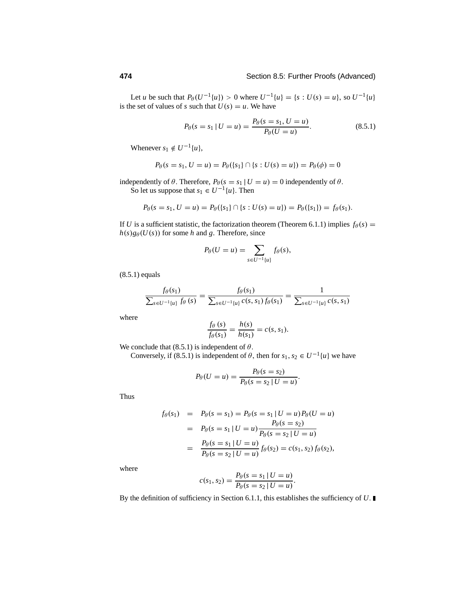Let *u* be such that  $P_{\theta}(U^{-1}{u}) > 0$  where  $U^{-1}{u} = {s : U(s) = u}$ , so  $U^{-1}{u}$ is the set of values of *s* such that  $U(s) = u$ . We have

$$
P_{\theta}(s = s_1 | U = u) = \frac{P_{\theta}(s = s_1, U = u)}{P_{\theta}(U = u)}.
$$
\n(8.5.1)

Whenever  $s_1 \notin U^{-1}{u}$ ,

$$
P_{\theta}(s = s_1, U = u) = P_{\theta}(\{s_1\} \cap \{s : U(s) = u\}) = P_{\theta}(\phi) = 0
$$

independently of  $\theta$ . Therefore,  $P_{\theta}(s = s_1 | U = u) = 0$  independently of  $\theta$ . So let us suppose that  $s_1 \in U^{-1}\{u\}$ . Then

$$
P_{\theta}(s=s_1, U=u) = P_{\theta}(\{s_1\} \cap \{s: U(s)=u\}) = P_{\theta}(\{s_1\}) = f_{\theta}(s_1).
$$

If *U* is a sufficient statistic, the factorization theorem (Theorem 6.1.1) implies  $f_{\theta}(s)$  =  $h(s)g_{\theta}(U(s))$  for some *h* and *g*. Therefore, since

$$
P_{\theta}(U=u)=\sum_{s\in U^{-1}\{u\}}f_{\theta}(s),
$$

(8.5.1) equals

$$
\frac{f_{\theta}(s_1)}{\sum_{s \in U^{-1}\{u\}} f_{\theta}(s)} = \frac{f_{\theta}(s_1)}{\sum_{s \in U^{-1}\{u\}} c(s, s_1) f_{\theta}(s_1)} = \frac{1}{\sum_{s \in U^{-1}\{u\}} c(s, s_1)}
$$

where

$$
\frac{f_{\theta}(s)}{f_{\theta}(s_1)} = \frac{h(s)}{h(s_1)} = c(s, s_1).
$$

We conclude that  $(8.5.1)$  is independent of  $\theta$ .

Conversely, if (8.5.1) is independent of  $\theta$ , then for  $s_1, s_2 \in U^{-1}{u}$  we have

$$
P_{\theta}(U = u) = \frac{P_{\theta}(s = s_2)}{P_{\theta}(s = s_2 | U = u)}
$$

.

.

Thus

$$
f_{\theta}(s_1) = P_{\theta}(s = s_1) = P_{\theta}(s = s_1 | U = u) P_{\theta}(U = u)
$$
  
=  $P_{\theta}(s = s_1 | U = u) \frac{P_{\theta}(s = s_2)}{P_{\theta}(s = s_2 | U = u)}$   
=  $\frac{P_{\theta}(s = s_1 | U = u)}{P_{\theta}(s = s_2 | U = u)} f_{\theta}(s_2) = c(s_1, s_2) f_{\theta}(s_2),$ 

where

$$
c(s_1, s_2) = \frac{P_{\theta}(s = s_1 | U = u)}{P_{\theta}(s = s_2 | U = u)}
$$

By the definition of sufficiency in Section 6.1.1, this establishes the sufficiency of *U*.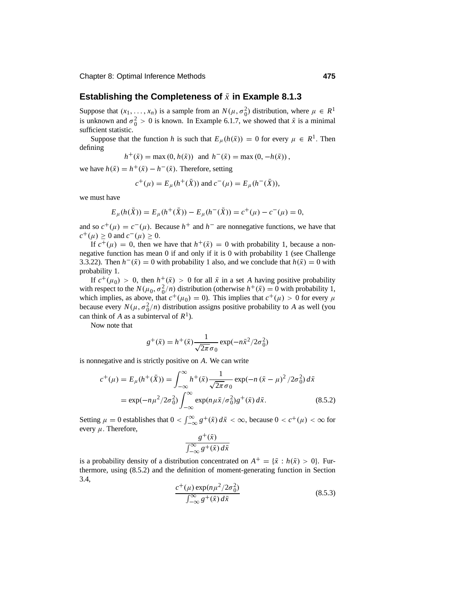Chapter 8: Optimal Inference Methods **475**

#### **Establishing the Completeness of**  $\bar{x}$  **in Example 8.1.3**

Suppose that  $(x_1, ..., x_n)$  is a sample from an  $N(\mu, \sigma_0^2)$  distribution, where  $\mu \in R^1$ is unknown and  $\sigma_0^2 > 0$  is known. In Example 6.1.7, we showed that  $\bar{x}$  is a minimal sufficient statistic.

Suppose that the function *h* is such that  $E_{\mu}(h(\bar{x})) = 0$  for every  $\mu \in R^1$ . Then defining

 $h^{+}(\bar{x}) = \max(0, h(\bar{x}))$  and  $h^{-}(\bar{x}) = \max(0, -h(\bar{x})),$ 

we have  $h(\bar{x}) = h^+(\bar{x}) - h^-(\bar{x})$ . Therefore, setting

$$
c^+(\mu) = E_\mu(h^+(\bar{X}))
$$
 and  $c^-(\mu) = E_\mu(h^-(\bar{X})),$ 

we must have

$$
E_{\mu}(h(\bar{X})) = E_{\mu}(h^{+}(\bar{X})) - E_{\mu}(h^{-}(\bar{X})) = c^{+}(\mu) - c^{-}(\mu) = 0,
$$

and so  $c^+(\mu) = c^-(\mu)$ . Because  $h^+$  and  $h^-$  are nonnegative functions, we have that  $c^{+}(\mu) > 0$  and  $c^{-}(\mu) > 0$ .

If  $c^+(\mu) = 0$ , then we have that  $h^+(\bar{x}) = 0$  with probability 1, because a nonnegative function has mean 0 if and only if it is 0 with probability 1 (see Challenge 3.3.22). Then  $h^{-}(\bar{x}) = 0$  with probability 1 also, and we conclude that  $h(\bar{x}) = 0$  with probability 1.

If  $c^+(\mu_0) > 0$ , then  $h^+(\bar{x}) > 0$  for all  $\bar{x}$  in a set *A* having positive probability with respect to the  $N(\mu_0, \sigma_0^2/n)$  distribution (otherwise  $h^+(\bar{x}) = 0$  with probability 1, which implies, as above, that  $c^+(\mu_0) = 0$ ). This implies that  $c^+(\mu) > 0$  for every  $\mu$ because every  $N(\mu, \sigma_0^2/n)$  distribution assigns positive probability to *A* as well (you can think of *A* as a subinterval of  $R^1$ ).

Now note that

$$
g^{+}(\bar{x}) = h^{+}(\bar{x}) \frac{1}{\sqrt{2\pi}\sigma_{0}} \exp(-n\bar{x}^{2}/2\sigma_{0}^{2})
$$

is nonnegative and is strictly positive on *A*. We can write

$$
c^{+}(\mu) = E_{\mu}(h^{+}(\bar{X})) = \int_{-\infty}^{\infty} h^{+}(\bar{x}) \frac{1}{\sqrt{2\pi}\sigma_{0}} \exp(-n(\bar{x} - \mu)^{2}/2\sigma_{0}^{2}) d\bar{x}
$$
  
=  $\exp(-n\mu^{2}/2\sigma_{0}^{2}) \int_{-\infty}^{\infty} \exp(n\mu\bar{x}/\sigma_{0}^{2}) g^{+}(\bar{x}) d\bar{x}.$  (8.5.2)

Setting  $\mu = 0$  establishes that  $0 < \int_{-\infty}^{\infty} g^{+}(\bar{x}) d\bar{x} < \infty$ , because  $0 < c^{+}(\mu) < \infty$  for every  $\mu$ . Therefore,  $g^2$ + $(g^2)$ 

$$
\frac{g^{(x)}(x)}{\int_{-\infty}^{\infty} g^{(x)}(\bar{x}) d\bar{x}}
$$

is a probability density of a distribution concentrated on  $A^+ = {\bar{x} : h(\bar{x}) > 0}$ . Furthermore, using (8.5.2) and the definition of moment-generating function in Section 3.4,

$$
\frac{c^+(\mu)\exp(n\mu^2/2\sigma_0^2)}{\int_{-\infty}^{\infty}g^+(\bar{x})d\bar{x}}\tag{8.5.3}
$$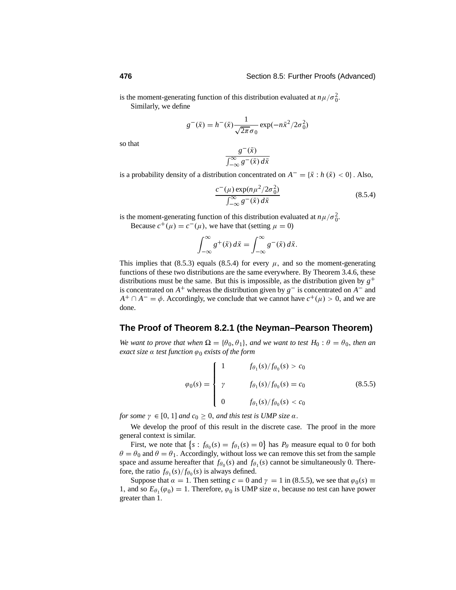is the moment-generating function of this distribution evaluated at  $n\mu/\sigma_0^2$ . Similarly, we define

$$
g^{-}(\bar{x}) = h^{-}(\bar{x}) \frac{1}{\sqrt{2\pi}\sigma_0} \exp(-n\bar{x}^2/2\sigma_0^2)
$$

so that

$$
\frac{g^-(\bar{x})}{\int_{-\infty}^{\infty} g^-(\bar{x}) d\bar{x}}
$$

is a probability density of a distribution concentrated on  $A^- = \{\bar{x}: h(\bar{x}) < 0\}$ . Also,

$$
\frac{c^-(\mu)\exp(n\mu^2/2\sigma_0^2)}{\int_{-\infty}^{\infty}g^-(\bar{x})d\bar{x}}\tag{8.5.4}
$$

is the moment-generating function of this distribution evaluated at  $n\mu/\sigma_0^2$ .

Because  $c^+(\mu) = c^-(\mu)$ , we have that (setting  $\mu = 0$ )

$$
\int_{-\infty}^{\infty} g^+(\bar{x}) d\bar{x} = \int_{-\infty}^{\infty} g^-(\bar{x}) d\bar{x}.
$$

This implies that (8.5.3) equals (8.5.4) for every  $\mu$ , and so the moment-generating functions of these two distributions are the same everywhere. By Theorem 3.4.6, these distributions must be the same. But this is impossible, as the distribution given by  $g^+$ is concentrated on *A*+ whereas the distribution given by *g*− is concentrated on *A*− and  $A^+ \cap A^- = \phi$ . Accordingly, we conclude that we cannot have  $c^+(\mu) > 0$ , and we are done.

#### **The Proof of Theorem 8.2.1 (the Neyman–Pearson Theorem)**

*We want to prove that when*  $\Omega = {\theta_0, \theta_1}$ , *and we want to test*  $H_0: \theta = \theta_0$ , *then an exact size* α *test function* ϕ<sup>0</sup> *exists of the form*

$$
\varphi_0(s) = \begin{cases}\n1 & f_{\theta_1}(s) / f_{\theta_0}(s) > c_0 \\
\gamma & f_{\theta_1}(s) / f_{\theta_0}(s) = c_0 \\
0 & f_{\theta_1}(s) / f_{\theta_0}(s) < c_0\n\end{cases}
$$
\n(8.5.5)

*for some*  $\gamma \in [0, 1]$  *and*  $c_0 \geq 0$ *, and this test is UMP size*  $\alpha$ *.* 

We develop the proof of this result in the discrete case. The proof in the more general context is similar.

First, we note that  $\{s : f_{\theta_0}(s) = f_{\theta_1}(s) = 0\}$  has  $P_{\theta}$  measure equal to 0 for both  $\theta = \theta_0$  and  $\theta = \theta_1$ . Accordingly, without loss we can remove this set from the sample space and assume hereafter that  $f_{\theta_0}(s)$  and  $f_{\theta_1}(s)$  cannot be simultaneously 0. Therefore, the ratio  $f_{\theta_1}(s)/f_{\theta_0}(s)$  is always defined.

Suppose that  $\alpha = 1$ . Then setting  $c = 0$  and  $\gamma = 1$  in (8.5.5), we see that  $\varphi_0(s) \equiv$ 1, and so  $E_{\theta_1}(\varphi_0) = 1$ . Therefore,  $\varphi_0$  is UMP size  $\alpha$ , because no test can have power greater than 1.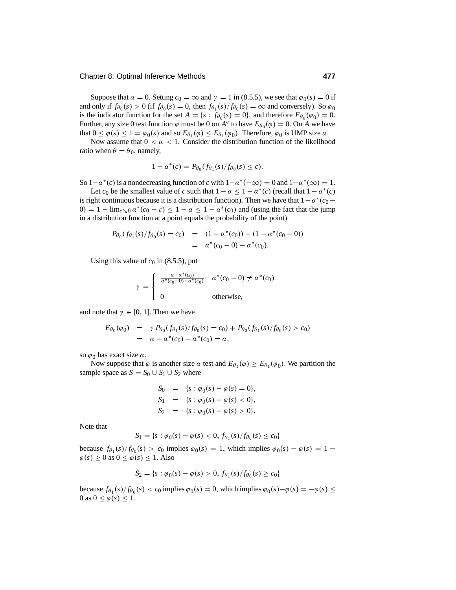#### Chapter 8: Optimal Inference Methods **477**

Suppose that  $\alpha = 0$ . Setting  $c_0 = \infty$  and  $\gamma = 1$  in (8.5.5), we see that  $\varphi_0(s) = 0$  if and only if  $f_{\theta_0}(s) > 0$  (if  $f_{\theta_0}(s) = 0$ , then  $f_{\theta_1}(s)/f_{\theta_0}(s) = \infty$  and conversely). So  $\varphi_0$ is the indicator function for the set  $A = \{s : f_{\theta_0}(s) = 0\}$ , and therefore  $E_{\theta_0}(\varphi_0) = 0$ . Further, any size 0 test function  $\varphi$  must be 0 on  $A^c$  to have  $E_{\theta_0}(\varphi) = 0$ . On A we have that  $0 \le \varphi(s) \le 1 = \varphi_0(s)$  and so  $E_{\theta_1}(\varphi) \le E_{\theta_1}(\varphi_0)$ . Therefore,  $\varphi_0$  is UMP size  $\alpha$ .

Now assume that  $0 < \alpha < 1$ . Consider the distribution function of the likelihood ratio when  $\theta = \theta_0$ , namely,

$$
1 - a^*(c) = P_{\theta_0}(f_{\theta_1}(s)/f_{\theta_0}(s) \leq c).
$$

So  $1-\alpha^*(c)$  is a nondecreasing function of *c* with  $1-\alpha^*(-\infty) = 0$  and  $1-\alpha^*(\infty) = 1$ .

Let *c*<sub>0</sub> be the smallest value of *c* such that  $1 - a \le 1 - a^*(c)$  (recall that  $1 - a^*(c)$ ) is right continuous because it is a distribution function). Then we have that  $1-\alpha^*(c_0 0 = 1 - \lim_{\varepsilon \to 0} \alpha^*(c_0 - \varepsilon) \leq 1 - \alpha \leq 1 - \alpha^*(c_0)$  and (using the fact that the jump in a distribution function at a point equals the probability of the point)

$$
P_{\theta_0}(f_{\theta_1}(s)/f_{\theta_0}(s) = c_0) = (1 - a^*(c_0)) - (1 - a^*(c_0 - 0))
$$
  
=  $a^*(c_0 - 0) - a^*(c_0).$ 

Using this value of  $c_0$  in (8.5.5), put

$$
\gamma = \begin{cases}\n\frac{\alpha - \alpha^*(c_0)}{\alpha^*(c_0 - 0) - \alpha^*(c_0)} & \alpha^*(c_0 - 0) \neq \alpha^*(c_0) \\
0 & \text{otherwise,} \n\end{cases}
$$

and note that  $\gamma \in [0, 1]$ . Then we have

$$
E_{\theta_0}(\varphi_0) = \gamma P_{\theta_0}(f_{\theta_1}(s)/f_{\theta_0}(s) = c_0) + P_{\theta_0}(f_{\theta_1}(s)/f_{\theta_0}(s) > c_0)
$$
  
=  $\alpha - \alpha^*(c_0) + \alpha^*(c_0) = \alpha$ ,

so  $\varphi_0$  has exact size  $\alpha$ .

Now suppose that  $\varphi$  is another size  $\alpha$  test and  $E_{\theta_1}(\varphi) \geq E_{\theta_1}(\varphi_0)$ . We partition the sample space as  $S = S_0 \cup S_1 \cup S_2$  where

$$
S_0 = \{s : \varphi_0(s) - \varphi(s) = 0\},
$$
  
\n
$$
S_1 = \{s : \varphi_0(s) - \varphi(s) < 0\},
$$
  
\n
$$
S_2 = \{s : \varphi_0(s) - \varphi(s) > 0\}.
$$

Note that

$$
S_1 = \{s : \varphi_0(s) - \varphi(s) < 0, \, f_{\theta_1}(s) / f_{\theta_0}(s) \le c_0\}
$$

because  $f_{\theta_1}(s)/f_{\theta_0}(s) > c_0$  implies  $\varphi_0(s) = 1$ , which implies  $\varphi_0(s) - \varphi(s) = 1$  $\varphi(s) \geq 0$  as  $0 \leq \varphi(s) \leq 1$ . Also

$$
S_2 = \{s : \varphi_0(s) - \varphi(s) > 0, f_{\theta_1}(s) / f_{\theta_0}(s) \ge c_0\}
$$

because  $f_{\theta_1}(s)/f_{\theta_0}(s) < c_0$  implies  $\varphi_0(s) = 0$ , which implies  $\varphi_0(s) - \varphi(s) = -\varphi(s) \le$ 0 as  $0 \le \varphi(s) \le 1$ .